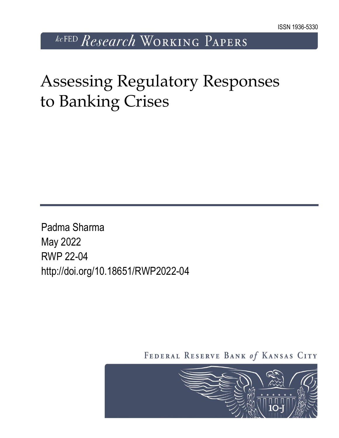*kcFED Research* WORKING PAPERS

# Assessing Regulatory Responses to Banking Crises

Padma Sharma May 2022 RWP 22-04 http://doi.org/10.18651/RWP2022-04

FEDERAL RESERVE BANK of KANSAS CITY

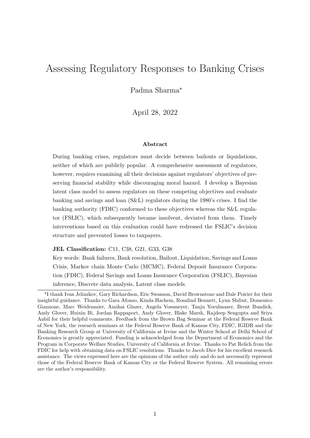# Assessing Regulatory Responses to Banking Crises

Padma Sharma\*

April 28, 2022

#### Abstract

During banking crises, regulators must decide between bailouts or liquidations, neither of which are publicly popular. A comprehensive assessment of regulators, however, requires examining all their decisions against regulators' objectives of preserving financial stability while discouraging moral hazard. I develop a Bayesian latent class model to assess regulators on these competing objectives and evaluate banking and savings and loan (S&L) regulators during the 1980's crises. I find the banking authority (FDIC) conformed to these objectives whereas the S&L regulator (FSLIC), which subsequently became insolvent, deviated from them. Timely interventions based on this evaluation could have redressed the FSLIC's decision structure and prevented losses to taxpayers.

JEL Classification: C11, C38, G21, G33, G38

Key words: Bank failures, Bank resolution, Bailout, Liquidation, Savings and Loans Crisis, Markov chain Monte Carlo (MCMC), Federal Deposit Insurance Corporation (FDIC), Federal Savings and Loans Insurance Corporation (FSLIC), Bayesian inference, Discrete data analysis, Latent class models.

<sup>\*</sup> I thank Ivan Jeliazkov, Gary Richardson, Eric Swanson, David Brownstone and Dale Poirier for their insightful guidance. Thanks to Gara Afonso, Kinda Hachem, Rosalind Bennett, Lynn Shibut, Domenico Giannone, Marc Weidenmier, Amihai Glazer, Angela Vossmeyer, Tanju Yorulmazer, Brent Bundick, Andy Glover, Huixin Bi, Jordan Rappaport, Andy Glover, Blake Marsh, Rajdeep Sengupta and Sriya Anbil for their helpful comments. Feedback from the Brown Bag Seminar at the Federal Reserve Bank of New York, the research seminars at the Federal Reserve Bank of Kansas City, FDIC, IGIDR and the Banking Research Group at University of California at Irvine and the Winter School at Delhi School of Economics is greatly appreciated. Funding is acknowledged from the Department of Economics and the Program in Corporate Welfare Studies, University of California at Irvine. Thanks to Pat Relich from the FDIC for help with obtaining data on FSLIC resolutions. Thanks to Jacob Dice for his excellent research assistance. The views expressed here are the opinions of the author only and do not necessarily represent those of the Federal Reserve Bank of Kansas City or the Federal Reserve System. All remaining errors are the author's responsibility.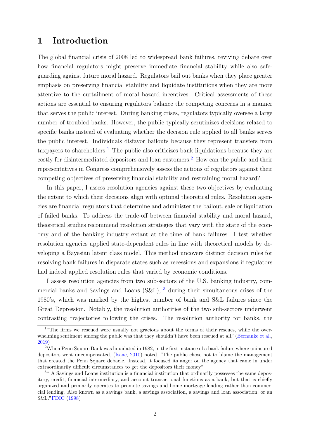# 1 Introduction

The global financial crisis of 2008 led to widespread bank failures, reviving debate over how financial regulators might preserve immediate financial stability while also safeguarding against future moral hazard. Regulators bail out banks when they place greater emphasis on preserving financial stability and liquidate institutions when they are more attentive to the curtailment of moral hazard incentives. Critical assessments of these actions are essential to ensuring regulators balance the competing concerns in a manner that serves the public interest. During banking crises, regulators typically oversee a large number of troubled banks. However, the public typically scrutinizes decisions related to specific banks instead of evaluating whether the decision rule applied to all banks serves the public interest. Individuals disfavor bailouts because they represent transfers from taxpayers to shareholders.<sup>[1](#page-2-0)</sup> The public also criticizes bank liquidations because they are costly for disintermediated depositors and loan customers.[2](#page-2-1) How can the public and their representatives in Congress comprehensively assess the actions of regulators against their competing objectives of preserving financial stability and restraining moral hazard?

In this paper, I assess resolution agencies against these two objectives by evaluating the extent to which their decisions align with optimal theoretical rules. Resolution agencies are financial regulators that determine and administer the bailout, sale or liquidation of failed banks. To address the trade-off between financial stability and moral hazard, theoretical studies recommend resolution strategies that vary with the state of the economy and of the banking industry extant at the time of bank failures. I test whether resolution agencies applied state-dependent rules in line with theoretical models by developing a Bayesian latent class model. This method uncovers distinct decision rules for resolving bank failures in disparate states such as recessions and expansions if regulators had indeed applied resolution rules that varied by economic conditions.

I assess resolution agencies from two sub-sectors of the U.S. banking industry, commercial banks and Savings and Loans (S&L), [3](#page-2-2) during their simultaneous crises of the 1980's, which was marked by the highest number of bank and S&L failures since the Great Depression. Notably, the resolution authorities of the two sub-sectors underwent contrasting trajectories following the crises. The resolution authority for banks, the

<span id="page-2-0"></span><sup>&</sup>lt;sup>1</sup> "The firms we rescued were usually not gracious about the terms of their rescues, while the over-whelming sentiment among the public was that they shouldn't have been rescued at all." [\(Bernanke et al.,](#page-46-0) [2019\)](#page-46-0)

<span id="page-2-1"></span><sup>2</sup>When Penn Square Bank was liquidated in 1982, in the first instance of a bank failure where uninsured depositors went uncompensated, [\(Isaac,](#page-48-0) [2010\)](#page-48-0) noted, "The public chose not to blame the management that created the Penn Square debacle. Instead, it focused its anger on the agency that came in under extraordinarily difficult circumstances to get the depositors their money"

<span id="page-2-2"></span><sup>3</sup>" A Savings and Loans institution is a financial institution that ordinarily possesses the same depository, credit, financial intermediary, and account transactional functions as a bank, but that is chiefly organized and primarily operates to promote savings and home mortgage lending rather than commercial lending. Also known as a savings bank, a savings association, a savings and loan association, or an S&L.["FDIC](#page-47-0) [\(1998\)](#page-47-0)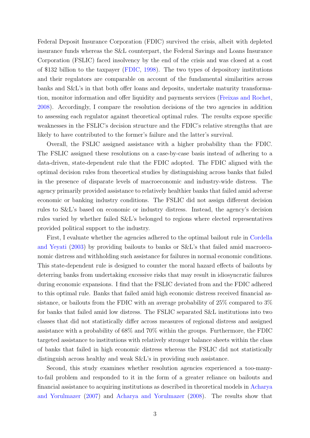Federal Deposit Insurance Corporation (FDIC) survived the crisis, albeit with depleted insurance funds whereas the S&L counterpart, the Federal Savings and Loans Insurance Corporation (FSLIC) faced insolvency by the end of the crisis and was closed at a cost of \$132 billion to the taxpayer [\(FDIC,](#page-47-0) [1998\)](#page-47-0). The two types of depository institutions and their regulators are comparable on account of the fundamental similarities across banks and S&L's in that both offer loans and deposits, undertake maturity transformation, monitor information and offer liquidity and payments services [\(Freixas and Rochet,](#page-47-1) [2008\)](#page-47-1). Accordingly, I compare the resolution decisions of the two agencies in addition to assessing each regulator against theoretical optimal rules. The results expose specific weaknesses in the FSLIC's decision structure and the FDIC's relative strengths that are likely to have contributed to the former's failure and the latter's survival.

Overall, the FSLIC assigned assistance with a higher probability than the FDIC. The FSLIC assigned these resolutions on a case-by-case basis instead of adhering to a data-driven, state-dependent rule that the FDIC adopted. The FDIC aligned with the optimal decision rules from theoretical studies by distinguishing across banks that failed in the presence of disparate levels of macroeconomic and industry-wide distress. The agency primarily provided assistance to relatively healthier banks that failed amid adverse economic or banking industry conditions. The FSLIC did not assign different decision rules to S&L's based on economic or industry distress. Instead, the agency's decision rules varied by whether failed S&L's belonged to regions where elected representatives provided political support to the industry.

First, I evaluate whether the agencies adhered to the optimal bailout rule in [Cordella](#page-47-2) [and Yeyati](#page-47-2) [\(2003\)](#page-47-2) by providing bailouts to banks or S&L's that failed amid macroeconomic distress and withholding such assistance for failures in normal economic conditions. This state-dependent rule is designed to counter the moral hazard effects of bailouts by deterring banks from undertaking excessive risks that may result in idiosyncratic failures during economic expansions. I find that the FSLIC deviated from and the FDIC adhered to this optimal rule. Banks that failed amid high economic distress received financial assistance, or bailouts from the FDIC with an average probability of 25% compared to 3% for banks that failed amid low distress. The FSLIC separated S&L institutions into two classes that did not statistically differ across measures of regional distress and assigned assistance with a probability of 68% and 70% within the groups. Furthermore, the FDIC targeted assistance to institutions with relatively stronger balance sheets within the class of banks that failed in high economic distress whereas the FSLIC did not statistically distinguish across healthy and weak S&L's in providing such assistance.

Second, this study examines whether resolution agencies experienced a too-manyto-fail problem and responded to it in the form of a greater reliance on bailouts and financial assistance to acquiring institutions as described in theoretical models in [Acharya](#page-46-1) [and Yorulmazer](#page-46-1) [\(2007\)](#page-46-1) and [Acharya and Yorulmazer](#page-46-2) [\(2008\)](#page-46-2). The results show that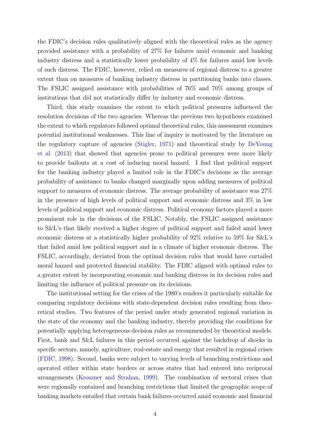the FDIC's decision rules qualitatively aligned with the theoretical rules as the agency provided assistance with a probability of 27% for failures amid economic and banking industry distress and a statistically lower probability of 4% for failures amid low levels of such distress. The FDIC, however, relied on measures of regional distress to a greater extent than on measures of banking industry distress in partitioning banks into classes. The FSLIC assigned assistance with probabilities of 76% and 70% among groups of institutions that did not statistically differ by industry and economic distress.

Third, this study examines the extent to which political pressures influenced the resolution decisions of the two agencies. Whereas the previous two hypotheses examined the extent to which regulators followed optimal theoretical rules, this assessment examines potential institutional weaknesses. This line of inquiry is motivated by the literature on the regulatory capture of agencies [\(Stigler,](#page-49-0) [1971\)](#page-49-0) and theoretical study by [DeYoung](#page-47-3) [et al.](#page-47-3) [\(2013\)](#page-47-3) that showed that agencies prone to political pressures were more likely to provide bailouts at a cost of inducing moral hazard. I find that political support for the banking industry played a limited role in the FDIC's decisions as the average probability of assistance to banks changed marginally upon adding measures of political support to measures of economic distress. The average probability of assistance was 27% in the presence of high levels of political support and economic distress and 3% in low levels of political support and economic distress. Political economy factors played a more prominent role in the decisions of the FSLIC. Notably, the FSLIC assigned assistance to S&L's that likely received a higher degree of political support and failed amid lower economic distress at a statistically higher probability of 92% relative to 59% for S&L's that failed amid low political support and in a climate of higher economic distress. The FSLIC, accordingly, deviated from the optimal decision rules that would have curtailed moral hazard and protected financial stability. The FDIC aligned with optimal rules to a greater extent by incorporating economic and banking distress in its decision rules and limiting the influence of political pressure on its decisions.

The institutional setting for the crises of the 1980's renders it particularly suitable for comparing regulatory decisions with state-dependent decision rules resulting from theoretical studies. Two features of the period under study generated regional variation in the state of the economy and the banking industry, thereby providing the conditions for potentially applying heterogeneous decision rules as recommended by theoretical models. First, bank and S&L failures in this period occurred against the backdrop of shocks in specific sectors, namely, agriculture, real-estate and energy that resulted in regional crises [\(FDIC,](#page-47-0) [1998\)](#page-47-0). Second, banks were subject to varying levels of branching restrictions and operated either within state borders or across states that had entered into reciprocal arrangements [\(Kroszner and Strahan,](#page-48-1) [1999\)](#page-48-1). The combination of sectoral crises that were regionally contained and branching restrictions that limited the geographic scope of banking markets entailed that certain bank failures occurred amid economic and financial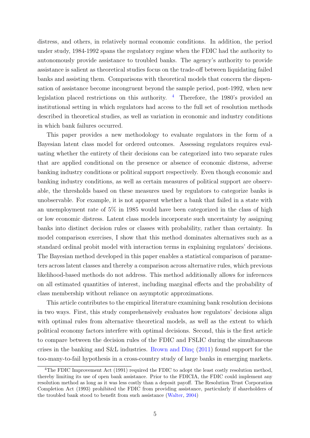distress, and others, in relatively normal economic conditions. In addition, the period under study, 1984-1992 spans the regulatory regime when the FDIC had the authority to autonomously provide assistance to troubled banks. The agency's authority to provide assistance is salient as theoretical studies focus on the trade-off between liquidating failed banks and assisting them. Comparisons with theoretical models that concern the dispensation of assistance become incongruent beyond the sample period, post-1992, when new legislation placed restrictions on this authority.  $\frac{4}{3}$  $\frac{4}{3}$  $\frac{4}{3}$  Therefore, the 1980's provided an institutional setting in which regulators had access to the full set of resolution methods described in theoretical studies, as well as variation in economic and industry conditions in which bank failures occurred.

This paper provides a new methodology to evaluate regulators in the form of a Bayesian latent class model for ordered outcomes. Assessing regulators requires evaluating whether the entirety of their decisions can be categorized into two separate rules that are applied conditional on the presence or absence of economic distress, adverse banking industry conditions or political support respectively. Even though economic and banking industry conditions, as well as certain measures of political support are observable, the thresholds based on these measures used by regulators to categorize banks is unobservable. For example, it is not apparent whether a bank that failed in a state with an unemployment rate of 5% in 1985 would have been categorized in the class of high or low economic distress. Latent class models incorporate such uncertainty by assigning banks into distinct decision rules or classes with probability, rather than certainty. In model comparison exercises, I show that this method dominates alternatives such as a standard ordinal probit model with interaction terms in explaining regulators' decisions. The Bayesian method developed in this paper enables a statistical comparison of parameters across latent classes and thereby a comparison across alternative rules, which previous likelihood-based methods do not address. This method additionally allows for inferences on all estimated quantities of interest, including marginal effects and the probability of class membership without reliance on asymptotic approximations.

This article contributes to the empirical literature examining bank resolution decisions in two ways. First, this study comprehensively evaluates how regulators' decisions align with optimal rules from alternative theoretical models, as well as the extent to which political economy factors interfere with optimal decisions. Second, this is the first article to compare between the decision rules of the FDIC and FSLIC during the simultaneous crises in the banking and S&L industries. Brown and  $\text{D}$ in $\varsigma$  [\(2011\)](#page-46-3) found support for the too-many-to-fail hypothesis in a cross-country study of large banks in emerging markets.

<span id="page-5-0"></span><sup>&</sup>lt;sup>4</sup>The FDIC Improvement Act (1991) required the FDIC to adopt the least costly resolution method, thereby limiting its use of open bank assistance. Prior to the FDICIA, the FDIC could implement any resolution method as long as it was less costly than a deposit payoff. The Resolution Trust Corporation Completion Act (1993) prohibited the FDIC from providing assistance, particularly if shareholders of the troubled bank stood to benefit from such assistance [\(Walter,](#page-49-1) [2004\)](#page-49-1)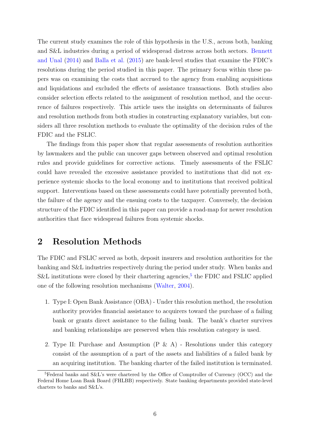The current study examines the role of this hypothesis in the U.S., across both, banking and S&L industries during a period of widespread distress across both sectors. [Bennett](#page-46-4) [and Unal](#page-46-4) [\(2014\)](#page-46-4) and [Balla et al.](#page-46-5) [\(2015\)](#page-46-5) are bank-level studies that examine the FDIC's resolutions during the period studied in this paper. The primary focus within these papers was on examining the costs that accrued to the agency from enabling acquisitions and liquidations and excluded the effects of assistance transactions. Both studies also consider selection effects related to the assignment of resolution method, and the occurrence of failures respectively. This article uses the insights on determinants of failures and resolution methods from both studies in constructing explanatory variables, but considers all three resolution methods to evaluate the optimality of the decision rules of the FDIC and the FSLIC.

The findings from this paper show that regular assessments of resolution authorities by lawmakers and the public can uncover gaps between observed and optimal resolution rules and provide guidelines for corrective actions. Timely assessments of the FSLIC could have revealed the excessive assistance provided to institutions that did not experience systemic shocks to the local economy and to institutions that received political support. Interventions based on these assessments could have potentially prevented both, the failure of the agency and the ensuing costs to the taxpayer. Conversely, the decision structure of the FDIC identified in this paper can provide a road-map for newer resolution authorities that face widespread failures from systemic shocks.

# <span id="page-6-1"></span>2 Resolution Methods

The FDIC and FSLIC served as both, deposit insurers and resolution authorities for the banking and S&L industries respectively during the period under study. When banks and S&L institutions were closed by their chartering agencies,<sup>[5](#page-6-0)</sup> the FDIC and FSLIC applied one of the following resolution mechanisms [\(Walter,](#page-49-1) [2004\)](#page-49-1).

- 1. Type I: Open Bank Assistance (OBA) Under this resolution method, the resolution authority provides financial assistance to acquirers toward the purchase of a failing bank or grants direct assistance to the failing bank. The bank's charter survives and banking relationships are preserved when this resolution category is used.
- 2. Type II: Purchase and Assumption  $(P \& A)$  Resolutions under this category consist of the assumption of a part of the assets and liabilities of a failed bank by an acquiring institution. The banking charter of the failed institution is terminated.

<span id="page-6-0"></span><sup>5</sup>Federal banks and S&L's were chartered by the Office of Comptroller of Currency (OCC) and the Federal Home Loan Bank Board (FHLBB) respectively. State banking departments provided state-level charters to banks and S&L's.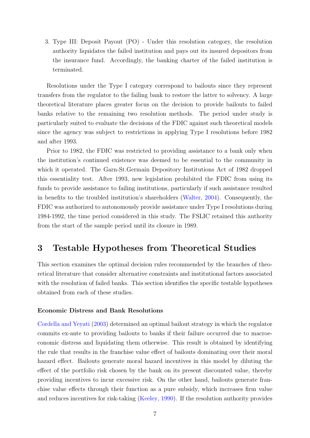3. Type III: Deposit Payout (PO) - Under this resolution category, the resolution authority liquidates the failed institution and pays out its insured depositors from the insurance fund. Accordingly, the banking charter of the failed institution is terminated.

Resolutions under the Type I category correspond to bailouts since they represent transfers from the regulator to the failing bank to restore the latter to solvency. A large theoretical literature places greater focus on the decision to provide bailouts to failed banks relative to the remaining two resolution methods. The period under study is particularly suited to evaluate the decisions of the FDIC against such theoretical models since the agency was subject to restrictions in applying Type I resolutions before 1982 and after 1993.

Prior to 1982, the FDIC was restricted to providing assistance to a bank only when the institution's continued existence was deemed to be essential to the community in which it operated. The Garn-St.Germain Depository Institutions Act of 1982 dropped this essentiality test. After 1993, new legislation prohibited the FDIC from using its funds to provide assistance to failing institutions, particularly if such assistance resulted in benefits to the troubled institution's shareholders [\(Walter,](#page-49-1) [2004\)](#page-49-1). Consequently, the FDIC was authorized to autonomously provide assistance under Type I resolutions during 1984-1992, the time period considered in this study. The FSLIC retained this authority from the start of the sample period until its closure in 1989.

# <span id="page-7-0"></span>3 Testable Hypotheses from Theoretical Studies

This section examines the optimal decision rules recommended by the branches of theoretical literature that consider alternative constraints and institutional factors associated with the resolution of failed banks. This section identifies the specific testable hypotheses obtained from each of these studies.

### Economic Distress and Bank Resolutions

[Cordella and Yeyati](#page-47-2) [\(2003\)](#page-47-2) determined an optimal bailout strategy in which the regulator commits ex-ante to providing bailouts to banks if their failure occurred due to macroeconomic distress and liquidating them otherwise. This result is obtained by identifying the rule that results in the franchise value effect of bailouts dominating over their moral hazard effect. Bailouts generate moral hazard incentives in this model by diluting the effect of the portfolio risk chosen by the bank on its present discounted value, thereby providing incentives to incur excessive risk. On the other hand, bailouts generate franchise value effects through their function as a pure subsidy, which increases firm value and reduces incentives for risk-taking [\(Keeley,](#page-48-2) [1990\)](#page-48-2). If the resolution authority provides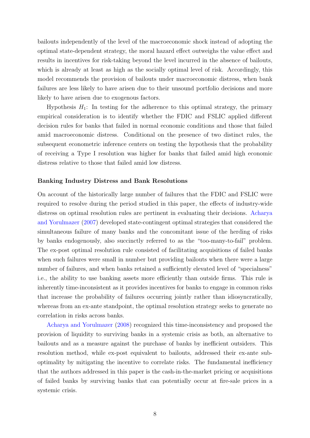bailouts independently of the level of the macroeconomic shock instead of adopting the optimal state-dependent strategy, the moral hazard effect outweighs the value effect and results in incentives for risk-taking beyond the level incurred in the absence of bailouts, which is already at least as high as the socially optimal level of risk. Accordingly, this model recommends the provision of bailouts under macroeconomic distress, when bank failures are less likely to have arisen due to their unsound portfolio decisions and more likely to have arisen due to exogenous factors.

Hypothesis  $H_1$ : In testing for the adherence to this optimal strategy, the primary empirical consideration is to identify whether the FDIC and FSLIC applied different decision rules for banks that failed in normal economic conditions and those that failed amid macroeconomic distress. Conditional on the presence of two distinct rules, the subsequent econometric inference centers on testing the hypothesis that the probability of receiving a Type I resolution was higher for banks that failed amid high economic distress relative to those that failed amid low distress.

#### Banking Industry Distress and Bank Resolutions

On account of the historically large number of failures that the FDIC and FSLIC were required to resolve during the period studied in this paper, the effects of industry-wide distress on optimal resolution rules are pertinent in evaluating their decisions. [Acharya](#page-46-1) [and Yorulmazer](#page-46-1) [\(2007\)](#page-46-1) developed state-contingent optimal strategies that considered the simultaneous failure of many banks and the concomitant issue of the herding of risks by banks endogenously, also succinctly referred to as the "too-many-to-fail" problem. The ex-post optimal resolution rule consisted of facilitating acquisitions of failed banks when such failures were small in number but providing bailouts when there were a large number of failures, and when banks retained a sufficiently elevated level of "specialness" i.e., the ability to use banking assets more efficiently than outside firms. This rule is inherently time-inconsistent as it provides incentives for banks to engage in common risks that increase the probability of failures occurring jointly rather than idiosyncratically, whereas from an ex-ante standpoint, the optimal resolution strategy seeks to generate no correlation in risks across banks.

[Acharya and Yorulmazer](#page-46-2) [\(2008\)](#page-46-2) recognized this time-inconsistency and proposed the provision of liquidity to surviving banks in a systemic crisis as both, an alternative to bailouts and as a measure against the purchase of banks by inefficient outsiders. This resolution method, while ex-post equivalent to bailouts, addressed their ex-ante suboptimality by mitigating the incentive to correlate risks. The fundamental inefficiency that the authors addressed in this paper is the cash-in-the-market pricing or acquisitions of failed banks by surviving banks that can potentially occur at fire-sale prices in a systemic crisis.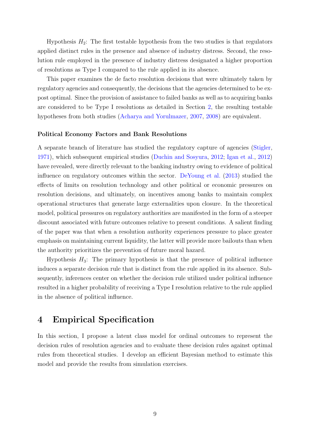Hypothesis  $H_2$ : The first testable hypothesis from the two studies is that regulators applied distinct rules in the presence and absence of industry distress. Second, the resolution rule employed in the presence of industry distress designated a higher proportion of resolutions as Type I compared to the rule applied in its absence.

This paper examines the de facto resolution decisions that were ultimately taken by regulatory agencies and consequently, the decisions that the agencies determined to be expost optimal. Since the provision of assistance to failed banks as well as to acquiring banks are considered to be Type I resolutions as detailed in Section [2,](#page-6-1) the resulting testable hypotheses from both studies [\(Acharya and Yorulmazer,](#page-46-1) [2007,](#page-46-1) [2008\)](#page-46-2) are equivalent.

#### Political Economy Factors and Bank Resolutions

A separate branch of literature has studied the regulatory capture of agencies [\(Stigler,](#page-49-0) [1971\)](#page-49-0), which subsequent empirical studies [\(Duchin and Sosyura,](#page-47-4) [2012;](#page-47-4) [Igan et al.,](#page-48-3) [2012\)](#page-48-3) have revealed, were directly relevant to the banking industry owing to evidence of political influence on regulatory outcomes within the sector. [DeYoung et al.](#page-47-3) [\(2013\)](#page-47-3) studied the effects of limits on resolution technology and other political or economic pressures on resolution decisions, and ultimately, on incentives among banks to maintain complex operational structures that generate large externalities upon closure. In the theoretical model, political pressures on regulatory authorities are manifested in the form of a steeper discount associated with future outcomes relative to present conditions. A salient finding of the paper was that when a resolution authority experiences pressure to place greater emphasis on maintaining current liquidity, the latter will provide more bailouts than when the authority prioritizes the prevention of future moral hazard.

Hypothesis  $H_3$ : The primary hypothesis is that the presence of political influence induces a separate decision rule that is distinct from the rule applied in its absence. Subsequently, inferences center on whether the decision rule utilized under political influence resulted in a higher probability of receiving a Type I resolution relative to the rule applied in the absence of political influence.

# <span id="page-9-0"></span>4 Empirical Specification

In this section, I propose a latent class model for ordinal outcomes to represent the decision rules of resolution agencies and to evaluate these decision rules against optimal rules from theoretical studies. I develop an efficient Bayesian method to estimate this model and provide the results from simulation exercises.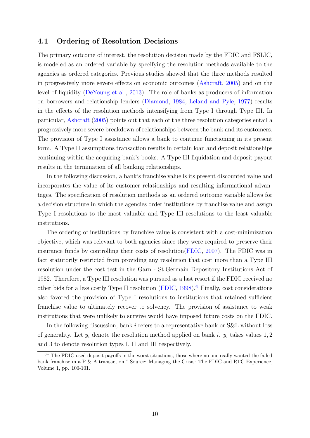### <span id="page-10-1"></span>4.1 Ordering of Resolution Decisions

The primary outcome of interest, the resolution decision made by the FDIC and FSLIC, is modeled as an ordered variable by specifying the resolution methods available to the agencies as ordered categories. Previous studies showed that the three methods resulted in progressively more severe effects on economic outcomes [\(Ashcraft,](#page-46-6) [2005\)](#page-46-6) and on the level of liquidity [\(DeYoung et al.,](#page-47-3) [2013\)](#page-47-3). The role of banks as producers of information on borrowers and relationship lenders [\(Diamond,](#page-47-5) [1984;](#page-47-5) [Leland and Pyle,](#page-48-4) [1977\)](#page-48-4) results in the effects of the resolution methods intensifying from Type I through Type III. In particular, [Ashcraft](#page-46-6) [\(2005\)](#page-46-6) points out that each of the three resolution categories entail a progressively more severe breakdown of relationships between the bank and its customers. The provision of Type I assistance allows a bank to continue functioning in its present form. A Type II assumptions transaction results in certain loan and deposit relationships continuing within the acquiring bank's books. A Type III liquidation and deposit payout results in the termination of all banking relationships.

In the following discussion, a bank's franchise value is its present discounted value and incorporates the value of its customer relationships and resulting informational advantages. The specification of resolution methods as an ordered outcome variable allows for a decision structure in which the agencies order institutions by franchise value and assign Type I resolutions to the most valuable and Type III resolutions to the least valuable institutions.

The ordering of institutions by franchise value is consistent with a cost-minimization objective, which was relevant to both agencies since they were required to preserve their insurance funds by controlling their costs of resolution[\(FDIC,](#page-47-6) [2007\)](#page-47-6). The FDIC was in fact statutorily restricted from providing any resolution that cost more than a Type III resolution under the cost test in the Garn - St.Germain Depository Institutions Act of 1982. Therefore, a Type III resolution was pursued as a last resort if the FDIC received no other bids for a less costly Type II resolution  $(FDIC, 1998)$  $(FDIC, 1998)$  $(FDIC, 1998)$ .<sup>[6](#page-10-0)</sup> Finally, cost considerations also favored the provision of Type I resolutions to institutions that retained sufficient franchise value to ultimately recover to solvency. The provision of assistance to weak institutions that were unlikely to survive would have imposed future costs on the FDIC.

In the following discussion, bank i refers to a representative bank or S&L without loss of generality. Let  $y_i$  denote the resolution method applied on bank i.  $y_i$  takes values 1, 2 and 3 to denote resolution types I, II and III respectively.

<span id="page-10-0"></span><sup>&</sup>lt;sup>6"</sup> The FDIC used deposit payoffs in the worst situations, those where no one really wanted the failed bank franchise in a  $P \& A$  transaction." Source: Managing the Crisis: The FDIC and RTC Experience, Volume 1, pp. 100-101.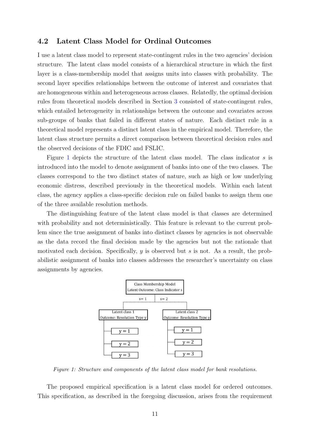### 4.2 Latent Class Model for Ordinal Outcomes

I use a latent class model to represent state-contingent rules in the two agencies' decision structure. The latent class model consists of a hierarchical structure in which the first layer is a class-membership model that assigns units into classes with probability. The second layer specifies relationships between the outcome of interest and covariates that are homogeneous within and heterogeneous across classes. Relatedly, the optimal decision rules from theoretical models described in Section [3](#page-7-0) consisted of state-contingent rules, which entailed heterogeneity in relationships between the outcome and covariates across sub-groups of banks that failed in different states of nature. Each distinct rule in a theoretical model represents a distinct latent class in the empirical model. Therefore, the latent class structure permits a direct comparison between theoretical decision rules and the observed decisions of the FDIC and FSLIC.

Figure [1](#page-11-0) depicts the structure of the latent class model. The class indicator s is introduced into the model to denote assignment of banks into one of the two classes. The classes correspond to the two distinct states of nature, such as high or low underlying economic distress, described previously in the theoretical models. Within each latent class, the agency applies a class-specific decision rule on failed banks to assign them one of the three available resolution methods.

The distinguishing feature of the latent class model is that classes are determined with probability and not deterministically. This feature is relevant to the current problem since the true assignment of banks into distinct classes by agencies is not observable as the data record the final decision made by the agencies but not the rationale that motivated each decision. Specifically,  $y$  is observed but  $s$  is not. As a result, the probabilistic assignment of banks into classes addresses the researcher's uncertainty on class assignments by agencies.

<span id="page-11-0"></span>

Figure 1: Structure and components of the latent class model for bank resolutions.

The proposed empirical specification is a latent class model for ordered outcomes. This specification, as described in the foregoing discussion, arises from the requirement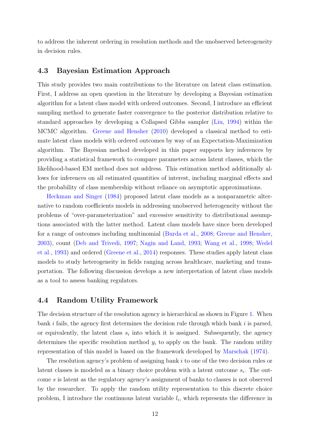to address the inherent ordering in resolution methods and the unobserved heterogeneity in decision rules.

### 4.3 Bayesian Estimation Approach

This study provides two main contributions to the literature on latent class estimation. First, I address an open question in the literature by developing a Bayesian estimation algorithm for a latent class model with ordered outcomes. Second, I introduce an efficient sampling method to generate faster convergence to the posterior distribution relative to standard approaches by developing a Collapsed Gibbs sampler [\(Liu,](#page-48-5) [1994\)](#page-48-5) within the MCMC algorithm. [Greene and Hensher](#page-48-6) [\(2010\)](#page-48-6) developed a classical method to estimate latent class models with ordered outcomes by way of an Expectation-Maximization algorithm. The Bayesian method developed in this paper supports key inferences by providing a statistical framework to compare parameters across latent classes, which the likelihood-based EM method does not address. This estimation method additionally allows for inferences on all estimated quantities of interest, including marginal effects and the probability of class membership without reliance on asymptotic approximations.

[Heckman and Singer](#page-48-7) [\(1984\)](#page-48-7) proposed latent class models as a nonparametric alternative to random coefficients models in addressing unobserved heterogeneity without the problems of "over-parameterization" and excessive sensitivity to distributional assumptions associated with the latter method. Latent class models have since been developed for a range of outcomes including multinomial [\(Burda et al.,](#page-46-7) [2008;](#page-46-7) [Greene and Hensher,](#page-47-7) [2003\)](#page-47-7), count [\(Deb and Trivedi,](#page-47-8) [1997;](#page-47-8) [Nagin and Land,](#page-49-2) [1993;](#page-49-2) [Wang et al.,](#page-49-3) [1998;](#page-49-3) [Wedel](#page-49-4) [et al.,](#page-49-4) [1993\)](#page-49-4) and ordered [\(Greene et al.,](#page-47-9) [2014\)](#page-47-9) responses. These studies apply latent class models to study heterogeneity in fields ranging across healthcare, marketing and transportation. The following discussion develops a new interpretation of latent class models as a tool to assess banking regulators.

### 4.4 Random Utility Framework

The decision structure of the resolution agency is hierarchical as shown in Figure [1.](#page-11-0) When bank i fails, the agency first determines the decision rule through which bank i is parsed, or equivalently, the latent class  $s_i$  into which it is assigned. Subsequently, the agency determines the specific resolution method  $y_i$  to apply on the bank. The random utility representation of this model is based on the framework developed by [Marschak](#page-49-5) [\(1974\)](#page-49-5).

The resolution agency's problem of assigning bank i to one of the two decision rules or latent classes is modeled as a binary choice problem with a latent outcome  $s_i$ . The outcome s is latent as the regulatory agency's assignment of banks to classes is not observed by the researcher. To apply the random utility representation to this discrete choice problem, I introduce the continuous latent variable  $l_i$ , which represents the difference in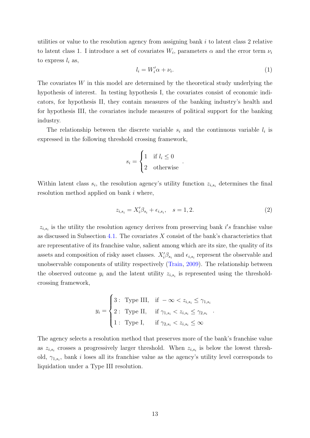utilities or value to the resolution agency from assigning bank i to latent class 2 relative to latent class 1. I introduce a set of covariates  $W_i$ , parameters  $\alpha$  and the error term  $\nu_i$ to express  $l_i$  as,

<span id="page-13-1"></span>
$$
l_i = W_i' \alpha + \nu_i. \tag{1}
$$

The covariates  $W$  in this model are determined by the theoretical study underlying the hypothesis of interest. In testing hypothesis I, the covariates consist of economic indicators, for hypothesis II, they contain measures of the banking industry's health and for hypothesis III, the covariates include measures of political support for the banking industry.

The relationship between the discrete variable  $s_i$  and the continuous variable  $l_i$  is expressed in the following threshold crossing framework,

$$
s_i = \begin{cases} 1 & \text{if } l_i \le 0 \\ 2 & \text{otherwise} \end{cases}
$$

Within latent class  $s_i$ , the resolution agency's utility function  $z_{i,s_i}$  determines the final resolution method applied on bank i where,

<span id="page-13-0"></span>
$$
z_{i,s_i} = X_i'\beta_{s_i} + \epsilon_{i,s_i}, \quad s = 1,2. \tag{2}
$$

.

.

 $z_{i,s_i}$  is the utility the resolution agency derives from preserving bank i's franchise value as discussed in Subsection [4.1.](#page-10-1) The covariates  $X$  consist of the bank's characteristics that are representative of its franchise value, salient among which are its size, the quality of its assets and composition of risky asset classes.  $X_i' \beta_{s_i}$  and  $\epsilon_{i,s_i}$  represent the observable and unobservable components of utility respectively [\(Train,](#page-49-6) [2009\)](#page-49-6). The relationship between the observed outcome  $y_i$  and the latent utility  $z_{i,s_i}$  is represented using the thresholdcrossing framework,

$$
y_i = \begin{cases} 3: \text{ Type III}, & \text{if } -\infty < z_{i,s_i} \le \gamma_{1,s_i} \\ 2: \text{ Type II}, & \text{if } \gamma_{1,s_i} < z_{i,s_i} \le \gamma_{2,s_i} \\ 1: \text{ Type I}, & \text{if } \gamma_{2,s_i} < z_{i,s_i} \le \infty \end{cases}
$$

The agency selects a resolution method that preserves more of the bank's franchise value as  $z_{i,s_i}$  crosses a progressively larger threshold. When  $z_{i,s_i}$  is below the lowest threshold,  $\gamma_{1,s_i}$ , bank *i* loses all its franchise value as the agency's utility level corresponds to liquidation under a Type III resolution.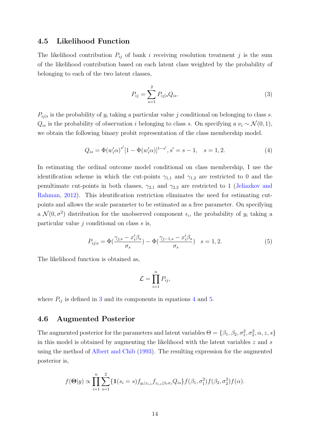### 4.5 Likelihood Function

The likelihood contribution  $P_{ij}$  of bank i receiving resolution treatment j is the sum of the likelihood contribution based on each latent class weighted by the probability of belonging to each of the two latent classes,

<span id="page-14-0"></span>
$$
P_{ij} = \sum_{s=1}^{2} P_{ij|s} Q_{is}.
$$
 (3)

 $P_{ij|s}$  is the probability of  $y_i$  taking a particular value j conditional on belonging to class s.  $Q_{is}$  is the probability of observation i belonging to class s. On specifying a  $\nu_i \sim \mathcal{N}(0, 1)$ , we obtain the following binary probit representation of the class membership model.

<span id="page-14-1"></span>
$$
Q_{is} = \Phi(w_i' \alpha)^{s'} [1 - \Phi(w_i' \alpha)]^{1 - s'}, s' = s - 1, \quad s = 1, 2.
$$
 (4)

In estimating the ordinal outcome model conditional on class membership, I use the identification scheme in which the cut-points  $\gamma_{1,1}$  and  $\gamma_{1,2}$  are restricted to 0 and the penultimate cut-points in both classes,  $\gamma_{2,1}$  and  $\gamma_{2,2}$  are restricted to 1 [\(Jeliazkov and](#page-48-8) [Rahman,](#page-48-8) [2012\)](#page-48-8). This identification restriction eliminates the need for estimating cutpoints and allows the scale parameter to be estimated as a free parameter. On specifying a  $\mathcal{N}(0, \sigma^2)$  distribution for the unobserved component  $\epsilon_i$ , the probability of  $y_i$  taking a particular value  $i$  conditional on class  $s$  is,

<span id="page-14-2"></span>
$$
P_{ij|s} = \Phi\left(\frac{\gamma_{j,s} - x_i'\beta_s}{\sigma_s}\right) - \Phi\left(\frac{\gamma_{j-1,s} - x_i'\beta_s}{\sigma_s}\right) \quad s = 1, 2. \tag{5}
$$

The likelihood function is obtained as,

$$
\mathcal{L} = \prod_{i=1}^n P_{ij},
$$

where  $P_{ij}$  is defined in [3](#page-14-0) and its components in equations [4](#page-14-1) and [5.](#page-14-2)

### 4.6 Augmented Posterior

The augmented posterior for the parameters and latent variables  $\Theta = \{\beta_1, \beta_2, \sigma_1^2, \sigma_2^2, \alpha, z, s\}$ in this model is obtained by augmenting the likelihood with the latent variables  $z$  and  $s$ using the method of [Albert and Chib](#page-46-8) [\(1993\)](#page-46-8). The resulting expression for the augmented posterior is,

$$
f(\mathbf{\Theta}|y) \propto \prod_{i=1}^{n} \sum_{s=1}^{2} \{ \mathbf{1}(s_i = s) f_{y_i | z_{i,s}} f_{z_{i,s} | \beta_s \sigma_s} Q_{is} \} f(\beta_1, \sigma_1^2) f(\beta_2, \sigma_2^2) f(\alpha).
$$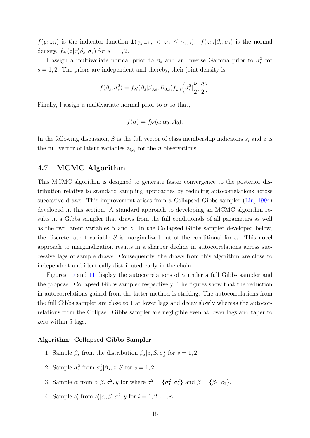$f(y_i|z_{is})$  is the indicator function  $1(\gamma_{y_i-1,s} < z_{is} \leq \gamma_{y_i,s})$ .  $f(z_{i,s}|\beta_s,\sigma_s)$  is the normal density,  $f_{\mathcal{N}}(z|x'_i\beta_s, \sigma_s)$  for  $s = 1, 2$ .

I assign a multivariate normal prior to  $\beta_s$  and an Inverse Gamma prior to  $\sigma_s^2$  for  $s = 1, 2$ . The priors are independent and thereby, their joint density is,

$$
f(\beta_s, \sigma_s^2) = f_{\mathcal{N}}(\beta_s | \beta_{0,s}, B_{0,s}) f_{\mathcal{IG}}\left(\sigma_s^2 | \frac{\nu}{2}, \frac{d}{2}\right).
$$

Finally, I assign a multivariate normal prior to  $\alpha$  so that,

$$
f(\alpha) = f_{\mathcal{N}}(\alpha | \alpha_0, A_0).
$$

In the following discussion, S is the full vector of class membership indicators  $s_i$  and z is the full vector of latent variables  $z_{i,s_i}$  for the *n* observations.

# <span id="page-15-0"></span>4.7 MCMC Algorithm

This MCMC algorithm is designed to generate faster convergence to the posterior distribution relative to standard sampling approaches by reducing autocorrelations across successive draws. This improvement arises from a Collapsed Gibbs sampler [\(Liu,](#page-48-5) [1994\)](#page-48-5) developed in this section. A standard approach to developing an MCMC algorithm results in a Gibbs sampler that draws from the full conditionals of all parameters as well as the two latent variables S and z. In the Collapsed Gibbs sampler developed below, the discrete latent variable S is marginalized out of the conditional for  $\alpha$ . This novel approach to marginalization results in a sharper decline in autocorrelations across successive lags of sample draws. Consequently, the draws from this algorithm are close to independent and identically distributed early in the chain.

Figures [10](#page-53-0) and [11](#page-53-0) display the autocorrelations of  $\alpha$  under a full Gibbs sampler and the proposed Collapsed Gibbs sampler respectively. The figures show that the reduction in autocorrelations gained from the latter method is striking. The autocorrelations from the full Gibbs sampler are close to 1 at lower lags and decay slowly whereas the autocorrelations from the Collpsed Gibbs sampler are negligible even at lower lags and taper to zero within 5 lags.

#### Algorithm: Collapsed Gibbs Sampler

- 1. Sample  $\beta_s$  from the distribution  $\beta_s | z, S, \sigma_s^2$  for  $s = 1, 2$ .
- 2. Sample  $\sigma_s^2$  from  $\sigma_s^2|\beta_s, z, S$  for  $s = 1, 2$ .
- 3. Sample  $\alpha$  from  $\alpha|\beta, \sigma^2, y$  for where  $\sigma^2 = {\sigma_1^2, \sigma_2^2}$  and  $\beta = {\beta_1, \beta_2}$ .
- 4. Sample  $s'_i$  from  $s'_i | \alpha, \beta, \sigma^2, y$  for  $i = 1, 2, ..., n$ .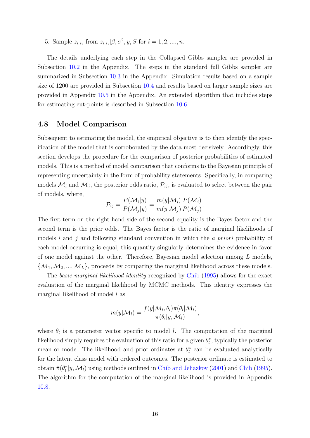5. Sample  $z_{i,s_i}$  from  $z_{i,s_i} | \beta, \sigma^2, y, S$  for  $i = 1, 2, ..., n$ .

The details underlying each step in the Collapsed Gibbs sampler are provided in Subsection [10.2](#page-50-0) in the Appendix. The steps in the standard full Gibbs sampler are summarized in Subsection [10.3](#page-52-0) in the Appendix. Simulation results based on a sample size of 1200 are provided in Subsection [10.4](#page-52-1) and results based on larger sample sizes are provided in Appendix [10.5](#page-55-0) in the Appendix. An extended algorithm that includes steps for estimating cut-points is described in Subsection [10.6.](#page-55-1)

### <span id="page-16-0"></span>4.8 Model Comparison

Subsequent to estimating the model, the empirical objective is to then identify the specification of the model that is corroborated by the data most decisively. Accordingly, this section develops the procedure for the comparison of posterior probabilities of estimated models. This is a method of model comparison that conforms to the Bayesian principle of representing uncertainty in the form of probability statements. Specifically, in comparing models  $\mathcal{M}_i$  and  $\mathcal{M}_j$ , the posterior odds ratio,  $\mathcal{P}_{ij}$ , is evaluated to select between the pair of models, where,

$$
\mathcal{P}_{ij} = \frac{P(\mathcal{M}_i|y)}{P(\mathcal{M}_j|y)} = \frac{m(y|\mathcal{M}_i)}{m(y|\mathcal{M}_j)} \frac{P(\mathcal{M}_i)}{P(\mathcal{M}_j)}.
$$

The first term on the right hand side of the second equality is the Bayes factor and the second term is the prior odds. The Bayes factor is the ratio of marginal likelihoods of models i and j and following standard convention in which the a priori probability of each model occurring is equal, this quantity singularly determines the evidence in favor of one model against the other. Therefore, Bayesian model selection among L models,  $\{\mathcal{M}_1,\mathcal{M}_2,...,\mathcal{M}_L\}$ , proceeds by comparing the marginal likelihood across these models.

The basic marginal likelihood identity recognized by [Chib](#page-46-9) [\(1995\)](#page-46-9) allows for the exact evaluation of the marginal likelihood by MCMC methods. This identity expresses the marginal likelihood of model l as

$$
m(y|\mathcal{M}_l) = \frac{f(y|\mathcal{M}_l, \theta_l)\pi(\theta_l|\mathcal{M}_l)}{\pi(\theta_l|y, \mathcal{M}_l)},
$$

where  $\theta_l$  is a parameter vector specific to model l. The computation of the marginal likelihood simply requires the evaluation of this ratio for a given  $\theta_l^*$ , typically the posterior mean or mode. The likelihood and prior ordinates at  $\theta_l^*$  can be evaluated analytically for the latent class model with ordered outcomes. The posterior ordinate is estimated to obtain  $\hat{\pi}(\theta_l^* | y, \mathcal{M}_l)$  using methods outlined in [Chib and Jeliazkov](#page-46-10) [\(2001\)](#page-46-10) and [Chib](#page-46-9) [\(1995\)](#page-46-9). The algorithm for the computation of the marginal likelihood is provided in Appendix [10.8.](#page-57-0)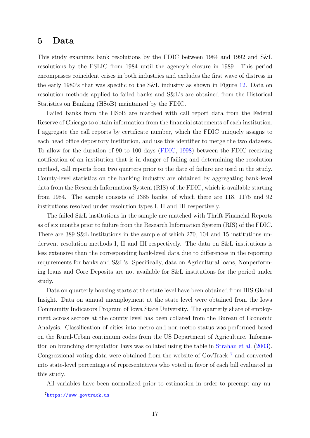# <span id="page-17-1"></span>5 Data

This study examines bank resolutions by the FDIC between 1984 and 1992 and S&L resolutions by the FSLIC from 1984 until the agency's closure in 1989. This period encompasses coincident crises in both industries and excludes the first wave of distress in the early 1980's that was specific to the S&L industry as shown in Figure [12.](#page-58-0) Data on resolution methods applied to failed banks and S&L's are obtained from the Historical Statistics on Banking (HSoB) maintained by the FDIC.

Failed banks from the HSoB are matched with call report data from the Federal Reserve of Chicago to obtain information from the financial statements of each institution. I aggregate the call reports by certificate number, which the FDIC uniquely assigns to each head office depository institution, and use this identifier to merge the two datasets. To allow for the duration of 90 to 100 days [\(FDIC,](#page-47-0) [1998\)](#page-47-0) between the FDIC receiving notification of an institution that is in danger of failing and determining the resolution method, call reports from two quarters prior to the date of failure are used in the study. County-level statistics on the banking industry are obtained by aggregating bank-level data from the Research Information System (RIS) of the FDIC, which is available starting from 1984. The sample consists of 1385 banks, of which there are 118, 1175 and 92 institutions resolved under resolution types I, II and III respectively.

The failed S&L institutions in the sample are matched with Thrift Financial Reports as of six months prior to failure from the Research Information System (RIS) of the FDIC. There are 389 S&L institutions in the sample of which 270, 104 and 15 institutions underwent resolution methods I, II and III respectively. The data on S&L institutions is less extensive than the corresponding bank-level data due to differences in the reporting requirements for banks and S&L's. Specifically, data on Agricultural loans, Nonperforming loans and Core Deposits are not available for S&L institutions for the period under study.

Data on quarterly housing starts at the state level have been obtained from IHS Global Insight. Data on annual unemployment at the state level were obtained from the Iowa Community Indicators Program of Iowa State University. The quarterly share of employment across sectors at the county level has been collated from the Bureau of Economic Analysis. Classification of cities into metro and non-metro status was performed based on the Rural-Urban continuum codes from the US Department of Agriculture. Information on branching deregulation laws was collated using the table in [Strahan et al.](#page-49-7) [\(2003\)](#page-49-7). Congressional voting data were obtained from the website of GovTrack [7](#page-17-0) and converted into state-level percentages of representatives who voted in favor of each bill evaluated in this study.

All variables have been normalized prior to estimation in order to preempt any nu-

<span id="page-17-0"></span><sup>7</sup><https://www.govtrack.us>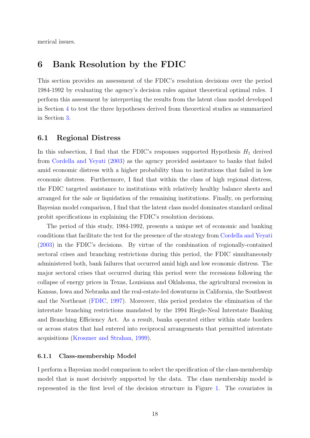merical issues.

# <span id="page-18-1"></span>6 Bank Resolution by the FDIC

This section provides an assessment of the FDIC's resolution decisions over the period 1984-1992 by evaluating the agency's decision rules against theoretical optimal rules. I perform this assessment by interpreting the results from the latent class model developed in Section [4](#page-9-0) to test the three hypotheses derived from theoretical studies as summarized in Section [3.](#page-7-0)

### <span id="page-18-2"></span>6.1 Regional Distress

In this subsection, I find that the FDIC's responses supported Hypothesis  $H_1$  derived from [Cordella and Yeyati](#page-47-2) [\(2003\)](#page-47-2) as the agency provided assistance to banks that failed amid economic distress with a higher probability than to institutions that failed in low economic distress. Furthermore, I find that within the class of high regional distress, the FDIC targeted assistance to institutions with relatively healthy balance sheets and arranged for the sale or liquidation of the remaining institutions. Finally, on performing Bayesian model comparison, I find that the latent class model dominates standard ordinal probit specifications in explaining the FDIC's resolution decisions.

The period of this study, 1984-1992, presents a unique set of economic and banking conditions that facilitate the test for the presence of the strategy from [Cordella and Yeyati](#page-47-2) [\(2003\)](#page-47-2) in the FDIC's decisions. By virtue of the combination of regionally-contained sectoral crises and branching restrictions during this period, the FDIC simultaneously administered both, bank failures that occurred amid high and low economic distress. The major sectoral crises that occurred during this period were the recessions following the collapse of energy prices in Texas, Louisiana and Oklahoma, the agricultural recession in Kansas, Iowa and Nebraska and the real-estate-led downturns in California, the Southwest and the Northeast [\(FDIC,](#page-47-10) [1997\)](#page-47-10). Moreover, this period predates the elimination of the interstate branching restrictions mandated by the 1994 Riegle-Neal Interstate Banking and Branching Efficiency Act. As a result, banks operated either within state borders or across states that had entered into reciprocal arrangements that permitted interstate acquisitions [\(Kroszner and Strahan,](#page-48-1) [1999\)](#page-48-1).

#### <span id="page-18-0"></span>6.1.1 Class-membership Model

I perform a Bayesian model comparison to select the specification of the class-membership model that is most decisively supported by the data. The class membership model is represented in the first level of the decision structure in Figure [1.](#page-11-0) The covariates in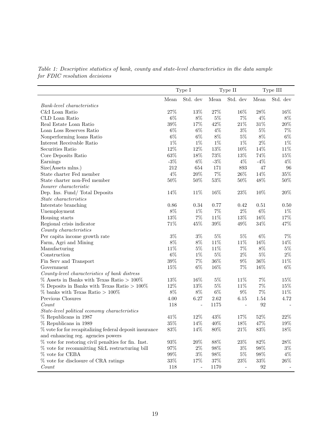|                                                         |        | Type I   |          | Type II  |        | Type III |
|---------------------------------------------------------|--------|----------|----------|----------|--------|----------|
|                                                         | Mean   | Std. dev | Mean     | Std. dev | Mean   | Std. dev |
| <b>Bank-level</b> characteristics                       |        |          |          |          |        |          |
| C&I Loan Ratio                                          | $27\%$ | $13\%$   | $27\%$   | 16%      | $28\%$ | 16%      |
| CLD Loan Ratio                                          | $6\%$  | $8\%$    | $5\%$    | 7%       | $4\%$  | $8\%$    |
| Real Estate Loan Ratio                                  | $39\%$ | 17%      | 42%      | $21\%$   | $31\%$ | $20\%$   |
| Loan Loss Reserves Ratio                                | $6\%$  | $6\%$    | $4\%$    | $3\%$    | $5\%$  | $7\%$    |
| Nonperforming loans Ratio                               | $6\%$  | $6\%$    | $8\%$    | $5\%$    | $8\%$  | $6\%$    |
| Interest Receivable Ratio                               | $1\%$  | $1\%$    | $1\%$    | $1\%$    | $2\%$  | $1\%$    |
| Securities Ratio                                        | $12\%$ | $12\%$   | $13\%$   | 10%      | 14%    | 11\%     |
| Core Deposits Ratio                                     | $63\%$ | 18%      | $73\%$   | 13%      | 74%    | $15\%$   |
| Earnings                                                | $-3\%$ | $6\%$    | $-3\%$   | $4\%$    | $-4%$  | $4\%$    |
| Size(Assets mlns.)                                      | 212    | 654      | 171      | 893      | 47     | 96       |
| State charter Fed member                                | $4\%$  | $20\%$   | $7\%$    | $26\%$   | 14%    | $35\%$   |
| State charter non-Fed member                            | $50\%$ | $50\%$   | $53\%$   | 50%      | 48%    | $50\%$   |
| Insurer characteristic                                  |        |          |          |          |        |          |
| Dep. Ins. Fund/ Total Deposits                          | 14%    | 11\%     | 16%      | 23%      | 10%    | $20\%$   |
| <i>State characteristics</i>                            |        |          |          |          |        |          |
| Interstate branching                                    | 0.86   | 0.34     | 0.77     | 0.42     | 0.51   | 0.50     |
| Unemployment                                            | $8\%$  | $1\%$    | $7\%$    | $2\%$    | $6\%$  | $1\%$    |
| Housing starts                                          | 13%    | $7\%$    | 11%      | 13%      | 16%    | 17%      |
| Regional crisis indicator                               | 71%    | 45%      | $39\%$   | 49%      | $34\%$ | 47%      |
| County characteristics                                  |        |          |          |          |        |          |
| Per capita income growth rate                           | $3\%$  | $3\%$    | $5\%$    | $5\%$    | $6\%$  | $7\%$    |
| Farm, Agri and Mining                                   | $8\%$  | $8\%$    | $11\%$   | 11%      | 16%    | 14%      |
| Manufacturing                                           | 11%    | $5\%$    | 11%      | $7\%$    | 8%     | $5\%$    |
| Construction                                            | $6\%$  | $1\%$    | $5\%$    | $2\%$    | $5\%$  | $2\%$    |
| Fin Serv and Transport                                  | $39\%$ | $7\%$    | $36\%$   | $9\%$    | $36\%$ | 11%      |
| Government                                              | 15%    | $6\%$    | 16%      | $7\%$    | 16%    | $6\%$    |
| County-level characteristics of bank distress           |        |          |          |          |        |          |
| $\%$ Assets in Banks with Texas Ratio $>100\%$          | 13%    | 16%      | $5\%$    | 11%      | $7\%$  | 15%      |
| $\%$ Deposits in Banks with Texas Ratio $>100\%$        | 12%    | $13\%$   | $5\%$    | 11%      | $7\%$  | 15%      |
| $\%$ banks with Texas Ratio > 100%                      | $8\%$  | $8\%$    | $6\%$    | $9\%$    | $7\%$  | 11%      |
| Previous Closures                                       | 4.00   | 6.27     | $2.62\,$ | 6.15     | 1.54   | 4.72     |
| Count                                                   | 118    |          | 1175     |          | 92     |          |
| State-level political economy characteristics           |        |          |          |          |        |          |
| % Republicans in 1987                                   | 41%    | $12\%$   | $43\%$   | 17%      | $52\%$ | $22\%$   |
| % Republicans in 1989                                   | $35\%$ | 14%      | 40\%     | 18%      | 47%    | 19%      |
| % vote for for recapitalizing federal deposit insurance | $83\%$ | 14%      | $80\%$   | 21\%     | 83%    | $18\%$   |
| and enhancing reg. agencies powers                      |        |          |          |          |        |          |
| $%$ vote for restoring civil penalties for fin. Inst.   | $93\%$ | $20\%$   | 88%      | $23\%$   | $82\%$ | 28\%     |
| % vote for recommitting S&L restructuring bill          | $97\%$ | $2\%$    | 98\%     | $3\%$    | 98%    | $3\%$    |
| % vote for CEBA                                         | $99\%$ | $3\%$    | 98%      | $5\%$    | 98%    | $4\%$    |
| % vote for disclosure of CRA ratings                    | $33\%$ | 17%      | 37%      | 23\%     | $33\%$ | 26\%     |
| Count                                                   | 118    |          | 1170     |          | 92     |          |

Table 1: Descriptive statistics of bank, county and state-level characteristics in the data sample for FDIC resolution decisions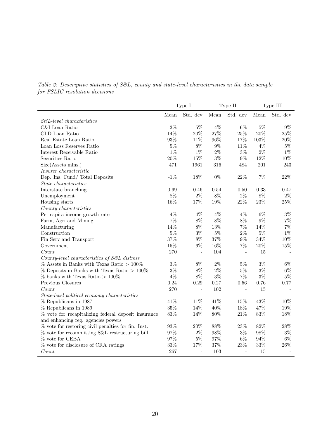|                                                       |        | Type I         |        | Type II        |        | Type III |
|-------------------------------------------------------|--------|----------------|--------|----------------|--------|----------|
|                                                       | Mean   | Std. dev       | Mean   | Std. dev       | Mean   | Std. dev |
| $S\&L$ -level characteristics                         |        |                |        |                |        |          |
| C&I Loan Ratio                                        | $3\%$  | $5\%$          | $4\%$  | $6\%$          | $5\%$  | $9\%$    |
| CLD Loan Ratio                                        | 14%    | $20\%$         | $27\%$ | $25\%$         | $20\%$ | $25\%$   |
| Real Estate Loan Ratio                                | $93\%$ | 11%            | $96\%$ | 17%            | 103%   | $20\%$   |
| Loan Loss Reserves Ratio                              | $5\%$  | 8%             | $9\%$  | 11%            | $4\%$  | $5\%$    |
| Interest Receivable Ratio                             | $1\%$  | $1\%$          | $2\%$  | $3\%$          | $2\%$  | $1\%$    |
| Securities Ratio                                      | $20\%$ | 15%            | 13%    | $9\%$          | 12%    | $10\%$   |
| Size(Assets mlns.)                                    | 471    | 1961           | 316    | 484            | 201    | 243      |
| Insurer characteristic                                |        |                |        |                |        |          |
| Dep. Ins. Fund/Total Deposits                         | $-1\%$ | 18%            | $0\%$  | 22%            | 7%     | $22\%$   |
| $State\ characteristics$                              |        |                |        |                |        |          |
| Interstate branching                                  | 0.69   | 0.46           | 0.54   | 0.50           | 0.33   | 0.47     |
| Unemployment                                          | 8%     | $2\%$          | $8\%$  | $2\%$          | 8%     | $2\%$    |
| Housing starts                                        | 16%    | 17%            | 19%    | $22\%$         | $23\%$ | $25\%$   |
| County characteristics                                |        |                |        |                |        |          |
| Per capita income growth rate                         | $4\%$  | $4\%$          | $4\%$  | $4\%$          | $6\%$  | $3\%$    |
| Farm, Agri and Mining                                 | 7%     | $8\%$          | $8\%$  | $8\%$          | $9\%$  | $7\%$    |
| Manufacturing                                         | 14%    | $8\%$          | 13%    | $7\%$          | 14%    | $7\%$    |
| Construction                                          | $5\%$  | $3\%$          | $5\%$  | $2\%$          | $5\%$  | $1\%$    |
| Fin Serv and Transport                                | $37\%$ | $8\%$          | $37\%$ | $9\%$          | $34\%$ | 10%      |
| Government                                            | 15%    | $6\%$          | $16\%$ | $7\%$          | $20\%$ | $15\%$   |
| Count                                                 | 270    | $\overline{a}$ | 104    | $\overline{a}$ | 15     |          |
| County-level characteristics of S&L distress          |        |                |        |                |        |          |
| $\%$ Assets in Banks with Texas Ratio $>100\%$        | $3\%$  | 8%             | $2\%$  | $5\%$          | $3\%$  | $6\%$    |
| $\%$ Deposits in Banks with Texas Ratio $>100\%$      | $3\%$  | $8\%$          | $2\%$  | $5\%$          | $3\%$  | $6\%$    |
| $\%$ banks with Texas Ratio > 100%                    | $4\%$  | $8\%$          | $3\%$  | $7\%$          | $3\%$  | $5\%$    |
| Previous Closures                                     | 0.24   | 0.29           | 0.27   | 0.56           | 0.76   | 0.77     |
| Count                                                 | 270    | $\overline{a}$ | 102    |                | 15     |          |
| State-level political economy characteristics         |        |                |        |                |        |          |
| % Republicans in 1987                                 | 41%    | 11%            | 41%    | 15%            | 43%    | 10%      |
| % Republicans in 1989                                 | $35\%$ | 14%            | $40\%$ | 18%            | 47%    | 19%      |
| % vote for recapitalizing federal deposit insurance   | $83\%$ | 14%            | $80\%$ | $21\%$         | 83%    | 18%      |
| and enhancing reg. agencies powers                    |        |                |        |                |        |          |
| $%$ vote for restoring civil penalties for fin. Inst. | $93\%$ | $20\%$         | 88%    | $23\%$         | 82%    | $28\%$   |
| % vote for recommitting S&L restructuring bill        | 97%    | $2\%$          | 98%    | $3\%$          | 98%    | $3\%$    |
| % vote for CEBA                                       | 97%    | $5\%$          | $97\%$ | $6\%$          | $94\%$ | $6\%$    |
| % vote for disclosure of CRA ratings                  | $33\%$ | 17%            | 37%    | $23\%$         | $33\%$ | $26\%$   |
| Count                                                 | 267    |                | 103    |                | 15     |          |

Table 2: Descriptive statistics of S&L, county and state-level characteristics in the data sample for FSLIC resolution decisions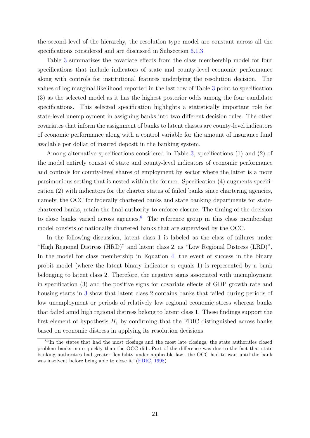the second level of the hierarchy, the resolution type model are constant across all the specifications considered and are discussed in Subsection [6.1.3.](#page-24-0)

Table [3](#page-22-0) summarizes the covariate effects from the class membership model for four specifications that include indicators of state and county-level economic performance along with controls for institutional features underlying the resolution decision. The values of log marginal likelihood reported in the last row of Table [3](#page-22-0) point to specification (3) as the selected model as it has the highest posterior odds among the four candidate specifications. This selected specification highlights a statistically important role for state-level unemployment in assigning banks into two different decision rules. The other covariates that inform the assignment of banks to latent classes are county-level indicators of economic performance along with a control variable for the amount of insurance fund available per dollar of insured deposit in the banking system.

Among alternative specifications considered in Table [3,](#page-22-0) specifications (1) and (2) of the model entirely consist of state and county-level indicators of economic performance and controls for county-level shares of employment by sector where the latter is a more parsimonious setting that is nested within the former. Specification (4) augments specification (2) with indicators for the charter status of failed banks since chartering agencies, namely, the OCC for federally chartered banks and state banking departments for statechartered banks, retain the final authority to enforce closure. The timing of the decision to close banks varied across agencies.<sup>[8](#page-21-0)</sup> The reference group in this class membership model consists of nationally chartered banks that are supervised by the OCC.

In the following discussion, latent class 1 is labeled as the class of failures under "High Regional Distress (HRD)" and latent class 2, as "Low Regional Distress (LRD)". In the model for class membership in Equation [4,](#page-14-1) the event of success in the binary probit model (where the latent binary indicator  $s_i$  equals 1) is represented by a bank belonging to latent class 2. Therefore, the negative signs associated with unemployment in specification (3) and the positive signs for covariate effects of GDP growth rate and housing starts in [3](#page-22-0) show that latent class 2 contains banks that failed during periods of low unemployment or periods of relatively low regional economic stress whereas banks that failed amid high regional distress belong to latent class 1. These findings support the first element of hypothesis  $H_1$  by confirming that the FDIC distinguished across banks based on economic distress in applying its resolution decisions.

<span id="page-21-0"></span><sup>&</sup>lt;sup>8</sup>"In the states that had the most closings and the most late closings, the state authorities closed problem banks more quickly than the OCC did...Part of the difference was due to the fact that state banking authorities had greater flexibility under applicable law...the OCC had to wait until the bank was insolvent before being able to close it."[\(FDIC,](#page-47-0) [1998\)](#page-47-0)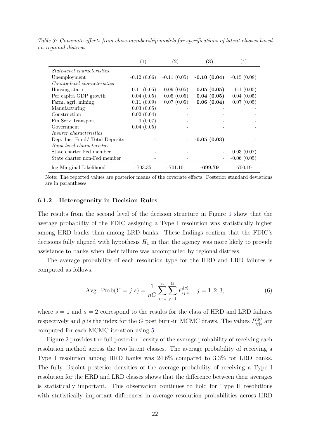|                                    | $\left( 1\right)$ | (2)           | $\left( 3\right)$ | (4)              |
|------------------------------------|-------------------|---------------|-------------------|------------------|
| <i>State-level characteristics</i> |                   |               |                   |                  |
| Unemployment                       | $-0.12(0.06)$     | $-0.11(0.05)$ | $-0.10(0.04)$     | $-0.15(0.08)$    |
| County-level characteristics       |                   |               |                   |                  |
| Housing starts                     | 0.11(0.05)        | 0.09(0.05)    | 0.05(0.05)        | 0.1(0.05)        |
| Per capita GDP growth              | 0.04(0.05)        | 0.05(0.05)    | 0.04(0.05)        | 0.04(0.05)       |
| Farm, agri, mining                 | 0.11(0.09)        | 0.07(0.05)    | 0.06(0.04)        | 0.07(0.05)       |
| Manufacturing                      | 0.03(0.05)        |               |                   |                  |
| Construction                       | 0.02(0.04)        |               |                   |                  |
| Fin Serv Transport                 | 0(0.07)           |               |                   |                  |
| Government                         | 0.04(0.05)        |               |                   |                  |
| <i>Insurer characteristics</i>     |                   |               |                   |                  |
| Dep. Ins. Fund/Total Deposits      |                   |               | $-0.05(0.03)$     |                  |
| Bank-level characteristics         |                   |               |                   |                  |
| State charter Fed member           |                   |               |                   | 0.03(0.07)       |
| State charter non-Fed member       |                   |               |                   | $-0.06$ $(0.05)$ |
| log Marginal Likelihood            | $-703.35$         | $-701.10$     | -699.79           | $-700.19$        |

<span id="page-22-0"></span>Table 3: Covariate effects from class-membership models for specifications of latent classes based on regional distress

Note: The reported values are posterior means of the covariate effects. Posterior standard deviations are in parantheses.

#### 6.1.2 Heterogeneity in Decision Rules

The results from the second level of the decision structure in Figure [1](#page-11-0) show that the average probability of the FDIC assigning a Type I resolution was statistically higher among HRD banks than among LRD banks. These findings confirm that the FDIC's decisions fully aligned with hypothesis  $H_1$  in that the agency was more likely to provide assistance to banks when their failure was accompanied by regional distress.

The average probability of each resolution type for the HRD and LRD failures is computed as follows.

Avg. Prob
$$
(Y = j|s) = \frac{1}{nG} \sum_{i=1}^{n} \sum_{g=1}^{G} P_{ij|s}^{(g)}, \quad j = 1, 2, 3,
$$
 (6)

where  $s = 1$  and  $s = 2$  correspond to the results for the class of HRD and LRD failures respectively and g is the index for the G post burn-in MCMC draws. The values  $P_{ij}^{(g)}$  $\hat{a}^{(g)}_{ij|s}$  are computed for each MCMC iteration using [5.](#page-14-2)

Figure [2](#page-23-0) provides the full posterior density of the average probability of receiving each resolution method across the two latent classes. The average probability of receiving a Type I resolution among HRD banks was 24.6% compared to 3.3% for LRD banks. The fully disjoint posterior densities of the average probability of receiving a Type I resolution for the HRD and LRD classes shows that the difference between their averages is statistically important. This observation continues to hold for Type II resolutions with statistically important differences in average resolution probabilities across HRD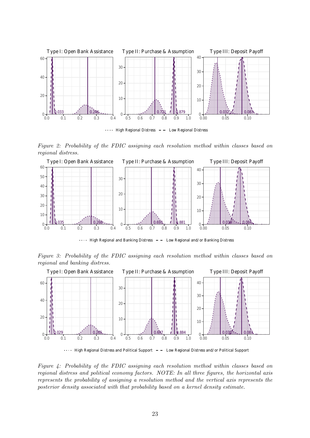<span id="page-23-0"></span>

Figure 2: Probability of the FDIC assigning each resolution method within classes based on regional distress.



High Regional and Banking Distress Low Regional and/or Banking Distress

Figure 3: Probability of the FDIC assigning each resolution method within classes based on regional and banking distress.



 $\cdots$  High Regional Distress and Political Support  $-$  Low Regional Distress and/or Political Support

Figure 4: Probability of the FDIC assigning each resolution method within classes based on regional distress and political economy factors. NOTE: In all three figures, the horizontal axis represents the probability of assigning a resolution method and the vertical axis represents the posterior density associated with that probability based on a kernel density estimate.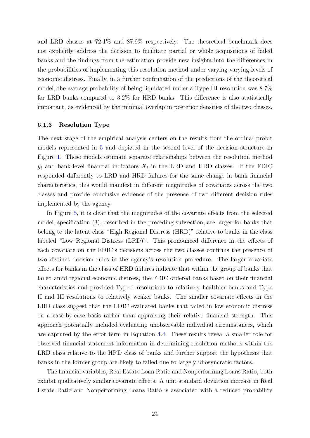and LRD classes at 72.1% and 87.9% respectively. The theoretical benchmark does not explicitly address the decision to facilitate partial or whole acquisitions of failed banks and the findings from the estimation provide new insights into the differences in the probabilities of implementing this resolution method under varying varying levels of economic distress. Finally, in a further confirmation of the predictions of the theoretical model, the average probability of being liquidated under a Type III resolution was 8.7% for LRD banks compared to 3.2% for HRD banks. This difference is also statistically important, as evidenced by the minimal overlap in posterior densities of the two classes.

#### <span id="page-24-0"></span>6.1.3 Resolution Type

The next stage of the empirical analysis centers on the results from the ordinal probit models represented in [5](#page-14-2) and depicted in the second level of the decision structure in Figure [1.](#page-11-0) These models estimate separate relationships between the resolution method  $y_i$  and bank-level financial indicators  $X_i$  in the LRD and HRD classes. If the FDIC responded differently to LRD and HRD failures for the same change in bank financial characteristics, this would manifest in different magnitudes of covariates across the two classes and provide conclusive evidence of the presence of two different decision rules implemented by the agency.

In Figure [5,](#page-27-0) it is clear that the magnitudes of the covariate effects from the selected model, specification (3), described in the preceding subsection, are larger for banks that belong to the latent class "High Regional Distress (HRD)" relative to banks in the class labeled "Low Regional Distress (LRD)". This pronounced difference in the effects of each covariate on the FDIC's decisions across the two classes confirms the presence of two distinct decision rules in the agency's resolution procedure. The larger covariate effects for banks in the class of HRD failures indicate that within the group of banks that failed amid regional economic distress, the FDIC ordered banks based on their financial characteristics and provided Type I resolutions to relatively healthier banks and Type II and III resolutions to relatively weaker banks. The smaller covariate effects in the LRD class suggest that the FDIC evaluated banks that failed in low economic distress on a case-by-case basis rather than appraising their relative financial strength. This approach potentially included evaluating unobservable individual circumstances, which are captured by the error term in Equation [4.4.](#page-13-0) These results reveal a smaller role for observed financial statement information in determining resolution methods within the LRD class relative to the HRD class of banks and further support the hypothesis that banks in the former group are likely to failed due to largely idiosyncratic factors.

The financial variables, Real Estate Loan Ratio and Nonperforming Loans Ratio, both exhibit qualitatively similar covariate effects. A unit standard deviation increase in Real Estate Ratio and Nonperforming Loans Ratio is associated with a reduced probability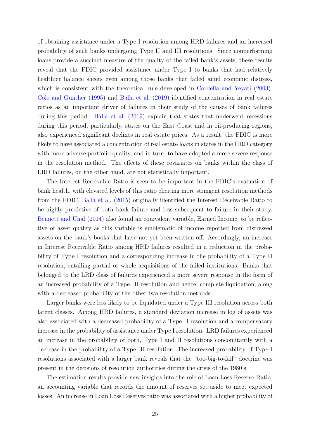of obtaining assistance under a Type I resolution among HRD failures and an increased probability of such banks undergoing Type II and III resolutions. Since nonperforming loans provide a succinct measure of the quality of the failed bank's assets, these results reveal that the FDIC provided assistance under Type I to banks that had relatively healthier balance sheets even among those banks that failed amid economic distress, which is consistent with the theoretical rule developed in [Cordella and Yeyati](#page-47-2) [\(2003\)](#page-47-2). [Cole and Gunther](#page-46-11) [\(1995\)](#page-46-11) and [Balla et al.](#page-46-12) [\(2019\)](#page-46-12) identified concentration in real estate ratios as an important driver of failures in their study of the causes of bank failures during this period. [Balla et al.](#page-46-12) [\(2019\)](#page-46-12) explain that states that underwent recessions during this period, particularly, states on the East Coast and in oil-producing regions, also experienced significant declines in real estate prices. As a result, the FDIC is more likely to have associated a concentration of real estate loans in states in the HRD category with more adverse portfolio quality, and in turn, to have adopted a more severe response in the resolution method. The effects of these covariates on banks within the class of LRD failures, on the other hand, are not statistically important.

The Interest Receivable Ratio is seen to be important in the FDIC's evaluation of bank health, with elevated levels of this ratio eliciting more stringent resolution methods from the FDIC. [Balla et al.](#page-46-5) [\(2015\)](#page-46-5) originally identified the Interest Receivable Ratio to be highly predictive of both bank failure and loss subsequent to failure in their study. [Bennett and Unal](#page-46-4) [\(2014\)](#page-46-4) also found an equivalent variable, Earned Income, to be reflective of asset quality as this variable is emblematic of income reported from distressed assets on the bank's books that have not yet been written off. Accordingly, an increase in Interest Receivable Ratio among HRD failures resulted in a reduction in the probability of Type I resolution and a corresponding increase in the probability of a Type II resolution, entailing partial or whole acquisitions of the failed institutions. Banks that belonged to the LRD class of failures experienced a more severe response in the form of an increased probability of a Type III resolution and hence, complete liquidation, along with a decreased probability of the other two resolution methods.

Larger banks were less likely to be liquidated under a Type III resolution across both latent classes. Among HRD failures, a standard deviation increase in log of assets was also associated with a decreased probability of a Type II resolution and a compensatory increase in the probability of assistance under Type I resolution. LRD failures experienced an increase in the probability of both, Type I and II resolutions concomitantly with a decrease in the probability of a Type III resolution. The increased probability of Type I resolutions associated with a larger bank reveals that the "too-big-to-fail" doctrine was present in the decisions of resolution authorities during the crisis of the 1980's.

The estimation results provide new insights into the role of Loan Loss Reserve Ratio, an accounting variable that records the amount of reserves set aside to meet expected losses. An increase in Loan Loss Reserves ratio was associated with a higher probability of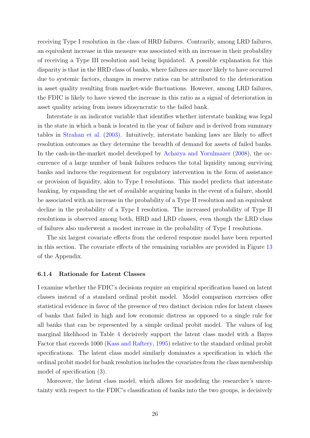receiving Type I resolution in the class of HRD failures. Contrarily, among LRD failures, an equivalent increase in this measure was associated with an increase in their probability of receiving a Type III resolution and being liquidated. A possible explanation for this disparity is that in the HRD class of banks, where failures are more likely to have occurred due to systemic factors, changes in reserve ratios can be attributed to the deterioration in asset quality resulting from market-wide fluctuations. However, among LRD failures, the FDIC is likely to have viewed the increase in this ratio as a signal of deterioration in asset quality arising from issues idiosyncratic to the failed bank.

Interstate is an indicator variable that identifies whether interstate banking was legal in the state in which a bank is located in the year of failure and is derived from summary tables in [Strahan et al.](#page-49-7) [\(2003\)](#page-49-7). Intuitively, interstate banking laws are likely to affect resolution outcomes as they determine the breadth of demand for assets of failed banks. In the cash-in-the-market model developed by [Acharya and Yorulmazer](#page-46-2) [\(2008\)](#page-46-2), the occurrence of a large number of bank failures reduces the total liquidity among surviving banks and induces the requirement for regulatory intervention in the form of assistance or provision of liquidity, akin to Type I resolutions. This model predicts that interstate banking, by expanding the set of available acquiring banks in the event of a failure, should be associated with an increase in the probability of a Type II resolution and an equivalent decline in the probability of a Type I resolution. The increased probability of Type II resolutions is observed among both, HRD and LRD classes, even though the LRD class of failures also underwent a modest increase in the probability of Type I resolutions.

The six largest covariate effects from the ordered response model have been reported in this section. The covariate effects of the remaining variables are provided in Figure [13](#page-59-0) of the Appendix.

#### 6.1.4 Rationale for Latent Classes

I examine whether the FDIC's decisions require an empirical specification based on latent classes instead of a standard ordinal probit model. Model comparison exercises offer statistical evidence in favor of the presence of two distinct decision rules for latent classes of banks that failed in high and low economic distress as opposed to a single rule for all banks that can be represented by a simple ordinal probit model. The values of log marginal likelihood in Table [4](#page-28-0) decisively support the latent class model with a Bayes Factor that exceeds 1000 [\(Kass and Raftery,](#page-48-9) [1995\)](#page-48-9) relative to the standard ordinal probit specifications. The latent class model similarly dominates a specification in which the ordinal probit model for bank resolution includes the covariates from the class membership model of specification (3).

Moreover, the latent class model, which allows for modeling the researcher's uncertainty with respect to the FDIC's classification of banks into the two groups, is decisively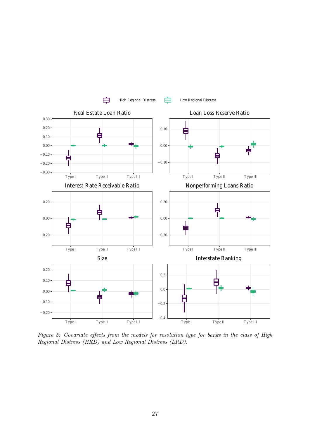<span id="page-27-0"></span>

Figure 5: Covariate effects from the models for resolution type for banks in the class of High Regional Distress (HRD) and Low Regional Distress (LRD).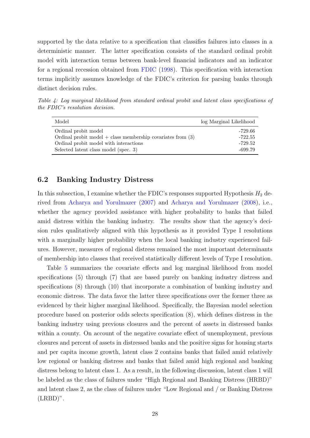supported by the data relative to a specification that classifies failures into classes in a deterministic manner. The latter specification consists of the standard ordinal probit model with interaction terms between bank-level financial indicators and an indicator for a regional recession obtained from [FDIC](#page-47-0) [\(1998\)](#page-47-0). This specification with interaction terms implicitly assumes knowledge of the FDIC's criterion for parsing banks through distinct decision rules.

<span id="page-28-0"></span>Table 4: Log marginal likelihood from standard ordinal probit and latent class specifications of the FDIC's resolution decision.

| Model                                                         | log Marginal Likelihood |
|---------------------------------------------------------------|-------------------------|
| Ordinal probit model                                          | -729.66                 |
| Ordinal probit model $+$ class membership covariates from (3) | $-722.55$               |
| Ordinal probit model with interactions                        | $-729.52$               |
| Selected latent class model (spec. 3)                         | $-699.79$               |

# <span id="page-28-1"></span>6.2 Banking Industry Distress

In this subsection, I examine whether the FDIC's responses supported Hypothesis  $H_2$  derived from [Acharya and Yorulmazer](#page-46-1) [\(2007\)](#page-46-1) and [Acharya and Yorulmazer](#page-46-2) [\(2008\)](#page-46-2), i.e., whether the agency provided assistance with higher probability to banks that failed amid distress within the banking industry. The results show that the agency's decision rules qualitatively aligned with this hypothesis as it provided Type I resolutions with a marginally higher probability when the local banking industry experienced failures. However, measures of regional distress remained the most important determinants of membership into classes that received statistically different levels of Type I resolution.

Table [5](#page-30-0) summarizes the covariate effects and log marginal likelihood from model specifications (5) through (7) that are based purely on banking industry distress and specifications (8) through (10) that incorporate a combination of banking industry and economic distress. The data favor the latter three specifications over the former three as evidenced by their higher marginal likelihood. Specifically, the Bayesian model selection procedure based on posterior odds selects specification (8), which defines distress in the banking industry using previous closures and the percent of assets in distressed banks within a county. On account of the negative covariate effect of unemployment, previous closures and percent of assets in distressed banks and the positive signs for housing starts and per capita income growth, latent class 2 contains banks that failed amid relatively low regional or banking distress and banks that failed amid high regional and banking distress belong to latent class 1. As a result, in the following discussion, latent class 1 will be labeled as the class of failures under "High Regional and Banking Distress (HRBD)" and latent class 2, as the class of failures under "Low Regional and / or Banking Distress  $(LRBD)$ ".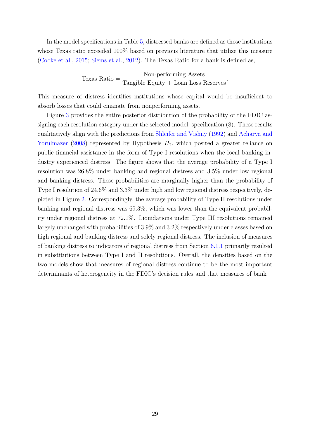In the model specifications in Table [5,](#page-30-0) distressed banks are defined as those institutions whose Texas ratio exceeded 100% based on previous literature that utilize this measure [\(Cooke et al.,](#page-47-11) [2015;](#page-47-11) [Siems et al.,](#page-49-8) [2012\)](#page-49-8). The Texas Ratio for a bank is defined as,

$$
Texas Ratio = \frac{Non-performing Assets}{Tangible Equity + Loan Loss Reserves}.
$$

This measure of distress identifies institutions whose capital would be insufficient to absorb losses that could emanate from nonperforming assets.

Figure [3](#page-23-0) provides the entire posterior distribution of the probability of the FDIC assigning each resolution category under the selected model, specification (8). These results qualitatively align with the predictions from [Shleifer and Vishny](#page-49-9) [\(1992\)](#page-49-9) and [Acharya and](#page-46-2) [Yorulmazer](#page-46-2) [\(2008\)](#page-46-2) represented by Hypothesis  $H_2$ , which posited a greater reliance on public financial assistance in the form of Type I resolutions when the local banking industry experienced distress. The figure shows that the average probability of a Type I resolution was 26.8% under banking and regional distress and 3.5% under low regional and banking distress. These probabilities are marginally higher than the probability of Type I resolution of 24.6% and 3.3% under high and low regional distress respectively, depicted in Figure [2.](#page-23-0) Correspondingly, the average probability of Type II resolutions under banking and regional distress was 69.3%, which was lower than the equivalent probability under regional distress at 72.1%. Liquidations under Type III resolutions remained largely unchanged with probabilities of 3.9% and 3.2% respectively under classes based on high regional and banking distress and solely regional distress. The inclusion of measures of banking distress to indicators of regional distress from Section [6.1.1](#page-18-0) primarily resulted in substitutions between Type I and II resolutions. Overall, the densities based on the two models show that measures of regional distress continue to be the most important determinants of heterogeneity in the FDIC's decision rules and that measures of bank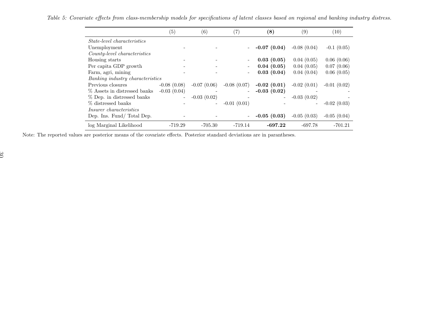|                                    | (5)           | (6)           | $\left( 7\right)$        | (8)            | (9)                      | (10)          |
|------------------------------------|---------------|---------------|--------------------------|----------------|--------------------------|---------------|
| <i>State-level characteristics</i> |               |               |                          |                |                          |               |
| Unemployment                       |               |               | $\overline{\phantom{a}}$ | $-0.07(0.04)$  | $-0.08(0.04)$            | $-0.1(0.05)$  |
| County-level characteristics       |               |               |                          |                |                          |               |
| Housing starts                     |               |               |                          | 0.03(0.05)     | 0.04(0.05)               | 0.06(0.06)    |
| Per capita GDP growth              |               |               |                          | 0.04(0.05)     | 0.04(0.05)               | 0.07(0.06)    |
| Farm, agri, mining                 |               |               | $\overline{\phantom{a}}$ | 0.03(0.04)     | 0.04(0.04)               | 0.06(0.05)    |
| Banking industry characteristics   |               |               |                          |                |                          |               |
| Previous closures                  | $-0.08(0.08)$ | $-0.07(0.06)$ | $-0.08(0.07)$            | $-0.02(0.01)$  | $-0.02(0.01)$            | $-0.01(0.02)$ |
| % Assets in distressed banks       | $-0.03(0.04)$ |               |                          | $-0.03(0.02)$  |                          |               |
| % Dep. in distressed banks         |               | $-0.03(0.02)$ |                          | $\overline{a}$ | $-0.03(0.02)$            |               |
| % distressed banks                 |               | $\sim$        | $-0.01(0.01)$            |                | $\overline{\phantom{a}}$ | $-0.02(0.03)$ |
| <i>Insurer characteristics</i>     |               |               |                          |                |                          |               |
| Dep. Ins. Fund/Total Dep.          |               |               | $\overline{\phantom{a}}$ | $-0.05(0.03)$  | $-0.05(0.03)$            | $-0.05(0.04)$ |
| log Marginal Likelihood            | $-719.29$     | $-705.30$     | $-719.14$                | $-697.22$      | $-697.78$                | $-701.21$     |

Table 5: Covariate effects from class-membership models for specifications of latent classes based on regional and banking industry distress.

<span id="page-30-0"></span>Note: The reported values are posterior means of the covariate effects. Posterior standard deviations are in parantheses.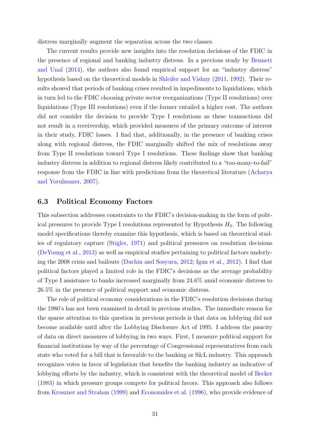distress marginally augment the separation across the two classes.

The current results provide new insights into the resolution decisions of the FDIC in the presence of regional and banking industry distress. In a previous study by [Bennett](#page-46-4) [and Unal](#page-46-4) [\(2014\)](#page-46-4), the authors also found empirical support for an "industry distress" hypothesis based on the theoretical models in [Shleifer and Vishny](#page-49-10) [\(2011,](#page-49-10) [1992\)](#page-49-9). Their results showed that periods of banking crises resulted in impediments to liquidations, which in turn led to the FDIC choosing private sector reorganizations (Type II resolutions) over liquidations (Type III resolutions) even if the former entailed a higher cost. The authors did not consider the decision to provide Type I resolutions as these transactions did not result in a receivership, which provided measures of the primary outcome of interest in their study, FDIC losses. I find that, additionally, in the presence of banking crises along with regional distress, the FDIC marginally shifted the mix of resolutions away from Type II resolutions toward Type I resolutions. These findings show that banking industry distress in addition to regional distress likely contributed to a "too-many-to-fail" response from the FDIC in line with predictions from the theoretical literature [\(Acharya](#page-46-1) [and Yorulmazer,](#page-46-1) [2007\)](#page-46-1).

### <span id="page-31-0"></span>6.3 Political Economy Factors

This subsection addresses constraints to the FDIC's decision-making in the form of political pressures to provide Type I resolutions represented by Hypothesis  $H_3$ . The following model specifications thereby examine this hypothesis, which is based on theoretical studies of regulatory capture [\(Stigler,](#page-49-0) [1971\)](#page-49-0) and political pressures on resolution decisions [\(DeYoung et al.,](#page-47-3) [2013\)](#page-47-3) as well as empirical studies pertaining to political factors underlying the 2008 crisis and bailouts [\(Duchin and Sosyura,](#page-47-4) [2012;](#page-47-4) [Igan et al.,](#page-48-3) [2012\)](#page-48-3). I find that political factors played a limited role in the FDIC's decisions as the average probability of Type I assistance to banks increased marginally from 24.6% amid economic distress to 26.5% in the presence of political support and economic distress.

The role of political economy considerations in the FDIC's resolution decisions during the 1980's has not been examined in detail in previous studies. The immediate reason for the sparse attention to this question in previous periods is that data on lobbying did not become available until after the Lobbying Disclosure Act of 1995. I address the paucity of data on direct measures of lobbying in two ways. First, I measure political support for financial institutions by way of the percentage of Congressional representatives from each state who voted for a bill that is favorable to the banking or S&L industry. This approach recognizes votes in favor of legislation that benefits the banking industry as indicative of lobbying efforts by the industry, which is consistent with the theoretical model of [Becker](#page-46-13) [\(1983\)](#page-46-13) in which pressure groups compete for political favors. This approach also follows from [Kroszner and Strahan](#page-48-1) [\(1999\)](#page-48-1) and [Economides et al.](#page-47-12) [\(1996\)](#page-47-12), who provide evidence of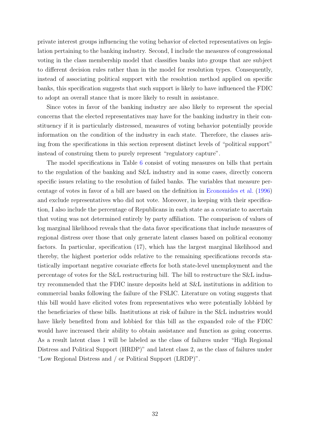private interest groups influencing the voting behavior of elected representatives on legislation pertaining to the banking industry. Second, I include the measures of congressional voting in the class membership model that classifies banks into groups that are subject to different decision rules rather than in the model for resolution types. Consequently, instead of associating political support with the resolution method applied on specific banks, this specification suggests that such support is likely to have influenced the FDIC to adopt an overall stance that is more likely to result in assistance.

Since votes in favor of the banking industry are also likely to represent the special concerns that the elected representatives may have for the banking industry in their constituency if it is particularly distressed, measures of voting behavior potentially provide information on the condition of the industry in each state. Therefore, the classes arising from the specifications in this section represent distinct levels of "political support" instead of construing them to purely represent "regulatory capture".

The model specifications in Table [6](#page-33-0) consist of voting measures on bills that pertain to the regulation of the banking and S&L industry and in some cases, directly concern specific issues relating to the resolution of failed banks. The variables that measure percentage of votes in favor of a bill are based on the definition in [Economides et al.](#page-47-12) [\(1996\)](#page-47-12) and exclude representatives who did not vote. Moreover, in keeping with their specification, I also include the percentage of Republicans in each state as a covariate to ascertain that voting was not determined entirely by party affiliation. The comparison of values of log marginal likelihood reveals that the data favor specifications that include measures of regional distress over those that only generate latent classes based on political economy factors. In particular, specification (17), which has the largest marginal likelihood and thereby, the highest posterior odds relative to the remaining specifications records statistically important negative covariate effects for both state-level unemployment and the percentage of votes for the S&L restructuring bill. The bill to restructure the S&L industry recommended that the FDIC insure deposits held at S&L institutions in addition to commercial banks following the failure of the FSLIC. Literature on voting suggests that this bill would have elicited votes from representatives who were potentially lobbied by the beneficiaries of these bills. Institutions at risk of failure in the S&L industries would have likely benefited from and lobbied for this bill as the expanded role of the FDIC would have increased their ability to obtain assistance and function as going concerns. As a result latent class 1 will be labeled as the class of failures under "High Regional Distress and Political Support (HRDP)" and latent class 2, as the class of failures under "Low Regional Distress and / or Political Support (LRDP)".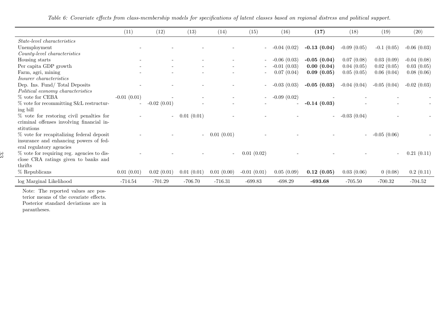|                                            | (11)          | (12)           | (13)                     | (14)       | (15)          | (16)          | (17)           | (18)          | (19)                     | (20)          |
|--------------------------------------------|---------------|----------------|--------------------------|------------|---------------|---------------|----------------|---------------|--------------------------|---------------|
| <i>State-level characteristics</i>         |               |                |                          |            |               |               |                |               |                          |               |
| Unemployment                               |               |                |                          |            |               | $-0.04(0.02)$ | $-0.13(0.04)$  | $-0.09(0.05)$ | $-0.1$ $(0.05)$          | $-0.06(0.03)$ |
| $Country-level characteristics$            |               |                |                          |            |               |               |                |               |                          |               |
| Housing starts                             |               |                |                          |            |               | $-0.06(0.03)$ | $-0.05(0.04)$  | 0.07(0.08)    | 0.03(0.09)               | $-0.04(0.08)$ |
| Per capita GDP growth                      |               |                |                          |            |               | $-0.01(0.03)$ | 0.00(0.04)     | 0.04(0.05)    | 0.02(0.05)               | 0.03(0.05)    |
| Farm, agri, mining                         |               |                |                          |            |               | 0.07(0.04)    | 0.09(0.05)     | 0.05(0.05)    | 0.06(0.04)               | 0.08(0.06)    |
| <i>Insurer characteristics</i>             |               |                |                          |            |               |               |                |               |                          |               |
| Dep. Ins. Fund/Total Deposits              |               |                |                          |            | $\sim$        | $-0.03(0.03)$ | $-0.05(0.03)$  | $-0.04(0.04)$ | $-0.05(0.04)$            | $-0.02(0.03)$ |
| Political economy characteristics          |               |                |                          |            |               |               |                |               |                          |               |
| % vote for CEBA                            | $-0.01(0.01)$ |                |                          |            |               | $-0.09(0.02)$ |                |               |                          |               |
| $\%$ vote for recommitting S&L restructur- |               | $-0.02(0.01)$  |                          |            |               |               | $-0.14(0.03)$  |               |                          |               |
| ing bill                                   |               |                |                          |            |               |               |                |               |                          |               |
| % vote for restoring civil penalties for   |               | $\overline{a}$ | 0.01(0.01)               |            |               |               | $\sim 10^{-1}$ | $-0.03(0.04)$ |                          |               |
| criminal offenses involving financial in-  |               |                |                          |            |               |               |                |               |                          |               |
| stitutions                                 |               |                |                          |            |               |               |                |               |                          |               |
| % vote for recapitalizing federal deposit  |               |                | $\overline{\phantom{a}}$ | 0.01(0.01) |               |               |                | $\sim$        | $-0.05(0.06)$            |               |
| insurance and enhancing powers of fed-     |               |                |                          |            |               |               |                |               |                          |               |
| eral regulatory agencies                   |               |                |                          |            |               |               |                |               |                          |               |
| % vote for requiring reg. agencies to dis- |               |                |                          |            | 0.01(0.02)    |               |                |               | $\overline{\phantom{a}}$ | 0.21(0.11)    |
| CRA ratings given to banks and<br>close    |               |                |                          |            |               |               |                |               |                          |               |
| thrifts                                    |               |                |                          |            |               |               |                |               |                          |               |
| $%$ Republicans                            | 0.01(0.01)    | 0.02(0.01)     | 0.01(0.01)               | 0.01(0.00) | $-0.01(0.01)$ | 0.05(0.09)    | 0.12(0.05)     | 0.03(0.06)    | 0(0.08)                  | 0.2(0.11)     |
| log Marginal Likelihood                    | $-714.54$     | $-701.29$      | $-706.70$                | $-716.31$  | $-699.83$     | $-698.29$     | $-693.68$      | $-705.50$     | $-700.32$                | $-704.52$     |

<span id="page-33-0"></span>Table 6: Covariate effects from class-membership models for specifications of latent classes based on regional distress and political support.

Note: The reported values are posterior means of the covariate effects. Posterior standard deviations are inparantheses.

33<br>33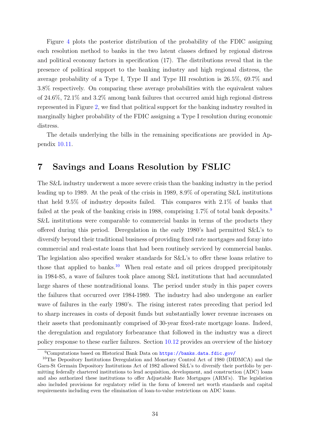Figure [4](#page-23-0) plots the posterior distribution of the probability of the FDIC assigning each resolution method to banks in the two latent classes defined by regional distress and political economy factors in specification (17). The distributions reveal that in the presence of political support to the banking industry and high regional distress, the average probability of a Type I, Type II and Type III resolution is 26.5%, 69.7% and 3.8% respectively. On comparing these average probabilities with the equivalent values of 24.6%, 72.1% and 3.2% among bank failures that occurred amid high regional distress represented in Figure [2,](#page-23-0) we find that political support for the banking industry resulted in marginally higher probability of the FDIC assigning a Type I resolution during economic distress.

The details underlying the bills in the remaining specifications are provided in Appendix [10.11.](#page-60-0)

# <span id="page-34-2"></span>7 Savings and Loans Resolution by FSLIC

The S&L industry underwent a more severe crisis than the banking industry in the period leading up to 1989. At the peak of the crisis in 1989, 8.9% of operating S&L institutions that held 9.5% of industry deposits failed. This compares with 2.1% of banks that failed at the peak of the banking crisis in 1[9](#page-34-0)88, comprising 1.7% of total bank deposits.<sup>9</sup> S&L institutions were comparable to commercial banks in terms of the products they offered during this period. Deregulation in the early 1980's had permitted S&L's to diversify beyond their traditional business of providing fixed rate mortgages and foray into commercial and real-estate loans that had been routinely serviced by commercial banks. The legislation also specified weaker standards for S&L's to offer these loans relative to those that applied to banks.<sup>[10](#page-34-1)</sup> When real estate and oil prices dropped precipitously in 1984-85, a wave of failures took place among S&L institutions that had accumulated large shares of these nontraditional loans. The period under study in this paper covers the failures that occurred over 1984-1989. The industry had also undergone an earlier wave of failures in the early 1980's. The rising interest rates preceding that period led to sharp increases in costs of deposit funds but substantially lower revenue increases on their assets that predominantly comprised of 30-year fixed-rate mortgage loans. Indeed, the deregulation and regulatory forbearance that followed in the industry was a direct policy response to these earlier failures. Section [10.12](#page-60-1) provides an overview of the history

<span id="page-34-1"></span><span id="page-34-0"></span><sup>9</sup>Computations based on Historical Bank Data on <https://banks.data.fdic.gov/>

<sup>&</sup>lt;sup>10</sup>The Depository Institutions Deregulation and Monetary Control Act of 1980 (DIDMCA) and the Garn-St Germain Depository Institutions Act of 1982 allowed S&L's to diversify their portfolio by permitting federally chartered institutions to lend acquisition, development, and construction (ADC) loans and also authorized these institutions to offer Adjustable Rate Mortgages (ARM's). The legislation also included provisions for regulatory relief in the form of lowered net worth standards and capital requirements including even the elimination of loan-to-value restrictions on ADC loans.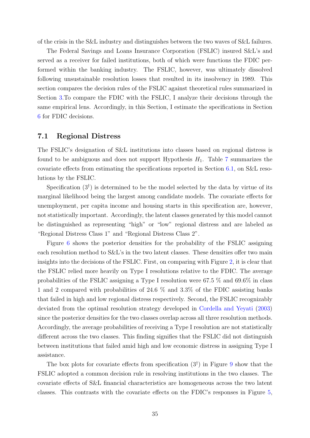of the crisis in the S&L industry and distinguishes between the two waves of S&L failures.

The Federal Savings and Loans Insurance Corporation (FSLIC) insured S&L's and served as a receiver for failed institutions, both of which were functions the FDIC performed within the banking industry. The FSLIC, however, was ultimately dissolved following unsustainable resolution losses that resulted in its insolvency in 1989. This section compares the decision rules of the FSLIC against theoretical rules summarized in Section [3.](#page-7-0)To compare the FDIC with the FSLIC, I analyze their decisions through the same empirical lens. Accordingly, in this Section, I estimate the specifications in Section [6](#page-18-1) for FDIC decisions.

### 7.1 Regional Distress

The FSLIC's designation of S&L institutions into classes based on regional distress is found to be ambiguous and does not support Hypothesis  $H_1$ . Table [7](#page-37-0) summarizes the covariate effects from estimating the specifications reported in Section [6.1,](#page-18-2) on S&L resolutions by the FSLIC.

Specification  $(3^{\dagger})$  is determined to be the model selected by the data by virtue of its marginal likelihood being the largest among candidate models. The covariate effects for unemployment, per capita income and housing starts in this specification are, however, not statistically important. Accordingly, the latent classes generated by this model cannot be distinguished as representing "high" or "low" regional distress and are labeled as "Regional Distress Class 1" and "Regional Distress Class 2".

Figure [6](#page-38-0) shows the posterior densities for the probability of the FSLIC assigning each resolution method to S&L's in the two latent classes. These densities offer two main insights into the decisions of the FSLIC. First, on comparing with Figure [2,](#page-23-0) it is clear that the FSLIC relied more heavily on Type I resolutions relative to the FDIC. The average probabilities of the FSLIC assigning a Type I resolution were 67.5 % and 69.6% in class 1 and 2 compared with probabilities of 24.6 % and 3.3% of the FDIC assisting banks that failed in high and low regional distress respectively. Second, the FSLIC recognizably deviated from the optimal resolution strategy developed in [Cordella and Yeyati](#page-47-2) [\(2003\)](#page-47-2) since the posterior densities for the two classes overlap across all three resolution methods. Accordingly, the average probabilities of receiving a Type I resolution are not statistically different across the two classes. This finding signifies that the FSLIC did not distinguish between institutions that failed amid high and low economic distress in assigning Type I assistance.

The box plots for covariate effects from specification  $(3^{\dagger})$  in Figure [9](#page-39-0) show that the FSLIC adopted a common decision rule in resolving institutions in the two classes. The covariate effects of S&L financial characteristics are homogeneous across the two latent classes. This contrasts with the covariate effects on the FDIC's responses in Figure [5,](#page-27-0)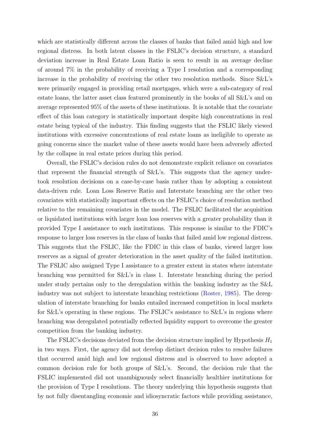which are statistically different across the classes of banks that failed amid high and low regional distress. In both latent classes in the FSLIC's decision structure, a standard deviation increase in Real Estate Loan Ratio is seen to result in an average decline of around 7% in the probability of receiving a Type I resolution and a corresponding increase in the probability of receiving the other two resolution methods. Since S&L's were primarily engaged in providing retail mortgages, which were a sub-category of real estate loans, the latter asset class featured prominently in the books of all S&L's and on average represented 95% of the assets of these institutions. It is notable that the covariate effect of this loan category is statistically important despite high concentrations in real estate being typical of the industry. This finding suggests that the FSLIC likely viewed institutions with excessive concentrations of real estate loans as ineligible to operate as going concerns since the market value of these assets would have been adversely affected by the collapse in real estate prices during this period.

Overall, the FSLIC's decision rules do not demonstrate explicit reliance on covariates that represent the financial strength of S&L's. This suggests that the agency undertook resolution decisions on a case-by-case basis rather than by adopting a consistent data-driven rule. Loan Loss Reserve Ratio and Interstate branching are the other two covariates with statistically important effects on the FSLIC's choice of resolution method relative to the remaining covariates in the model. The FSLIC facilitated the acquisition or liquidated institutions with larger loan loss reserves with a greater probability than it provided Type I assistance to such institutions. This response is similar to the FDIC's response to larger loss reserves in the class of banks that failed amid low regional distress. This suggests that the FSLIC, like the FDIC in this class of banks, viewed larger loss reserves as a signal of greater deterioration in the asset quality of the failed institution. The FSLIC also assigned Type I assistance to a greater extent in states where interstate branching was permitted for S&L's in class 1. Interstate branching during the period under study pertains only to the deregulation within the banking industry as the S&L industry was not subject to interstate branching restrictions [\(Roster,](#page-49-11) [1985\)](#page-49-11). The deregulation of interstate branching for banks entailed increased competition in local markets for S&L's operating in these regions. The FSLIC's assistance to S&L's in regions where branching was deregulated potentially reflected liquidity support to overcome the greater competition from the banking industry.

The FSLIC's decisions deviated from the decision structure implied by Hypothesis  $H_1$ in two ways. First, the agency did not develop distinct decision rules to resolve failures that occurred amid high and low regional distress and is observed to have adopted a common decision rule for both groups of S&L's. Second, the decision rule that the FSLIC implemented did not unambiguously select financially healthier institutions for the provision of Type I resolutions. The theory underlying this hypothesis suggests that by not fully disentangling economic and idiosyncratic factors while providing assistance,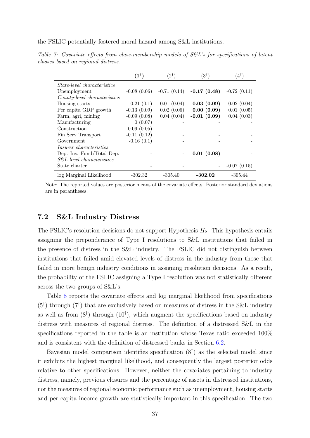the FSLIC potentially fostered moral hazard among S&L institutions.

|                                    | $(1^{\dagger})$ | $(2^{\dagger})$ | $(3^{\dagger})$ | $(4^{\dagger})$ |
|------------------------------------|-----------------|-----------------|-----------------|-----------------|
| <i>State-level characteristics</i> |                 |                 |                 |                 |
| Unemployment                       | $-0.08(0.06)$   | $-0.71(0.14)$   | $-0.17(0.48)$   | $-0.72(0.11)$   |
| County-level characteristics       |                 |                 |                 |                 |
| Housing starts                     | $-0.21(0.1)$    | $-0.01(0.04)$   | $-0.03(0.09)$   | $-0.02(0.04)$   |
| Per capita GDP growth              | $-0.13(0.09)$   | 0.02(0.06)      | 0.00(0.09)      | 0.01(0.05)      |
| Farm, agri, mining                 | $-0.09(0.08)$   | 0.04(0.04)      | $-0.01(0.09)$   | 0.04(0.03)      |
| Manufacturing                      | 0(0.07)         |                 |                 |                 |
| Construction                       | 0.09(0.05)      |                 |                 |                 |
| Fin Serv Transport                 | $-0.11(0.12)$   |                 |                 |                 |
| Government                         | $-0.16(0.1)$    |                 |                 |                 |
| <i>Insurer characteristics</i>     |                 |                 |                 |                 |
| Dep. Ins. Fund/Total Dep.          |                 |                 | 0.01(0.08)      |                 |
| $S\&L$ -level characteristics      |                 |                 |                 |                 |
| State charter                      |                 |                 |                 | $-0.07(0.15)$   |
| log Marginal Likelihood            | $-302.32$       | $-305.40$       | $-302.02$       | $-305.44$       |

<span id="page-37-0"></span>Table 7: Covariate effects from class-membership models of S&L's for specifications of latent classes based on regional distress.

Note: The reported values are posterior means of the covariate effects. Posterior standard deviations are in parantheses.

### 7.2 S&L Industry Distress

The FSLIC's resolution decisions do not support Hypothesis  $H_2$ . This hypothesis entails assigning the preponderance of Type I resolutions to S&L institutions that failed in the presence of distress in the S&L industry. The FSLIC did not distinguish between institutions that failed amid elevated levels of distress in the industry from those that failed in more benign industry conditions in assigning resolution decisions. As a result, the probability of the FSLIC assigning a Type I resolution was not statistically different across the two groups of S&L's.

Table [8](#page-42-0) reports the covariate effects and log marginal likelihood from specifications  $(5^{\dagger})$  through  $(7^{\dagger})$  that are exclusively based on measures of distress in the S&L industry as well as from  $(8^{\dagger})$  through  $(10^{\dagger})$ , which augment the specifications based on industry distress with measures of regional distress. The definition of a distressed S&L in the specifications reported in the table is an institution whose Texas ratio exceeded 100% and is consistent with the definition of distressed banks in Section [6.2.](#page-28-1)

Bayesian model comparison identifies specification  $(8^{\dagger})$  as the selected model since it exhibits the highest marginal likelihood, and consequently the largest posterior odds relative to other specifications. However, neither the covariates pertaining to industry distress, namely, previous closures and the percentage of assets in distressed institutions, nor the measures of regional economic performance such as unemployment, housing starts and per capita income growth are statistically important in this specification. The two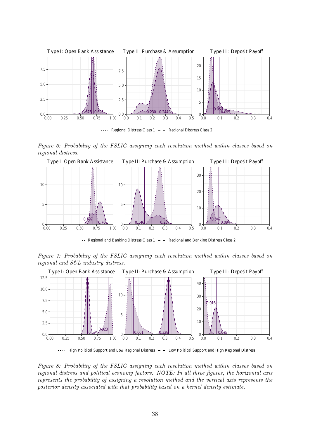<span id="page-38-0"></span>

Figure 6: Probability of the FSLIC assigning each resolution method within classes based on regional distress.



 $\cdots$  Regional and Banking Distress Class 1 - - Regional and Banking Distress Class 2

Figure 7: Probability of the FSLIC assigning each resolution method within classes based on regional and S&L industry distress.



High Political Support and Low Regional Distress - - Low Political Support and High Regional Distress

Figure 8: Probability of the FSLIC assigning each resolution method within classes based on regional distress and political economy factors. NOTE: In all three figures, the horizontal axis represents the probability of assigning a resolution method and the vertical axis represents the posterior density associated with that probability based on a kernel density estimate.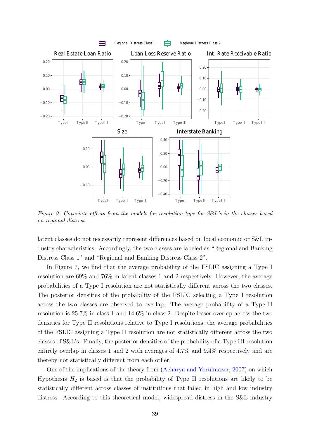<span id="page-39-0"></span>

Figure 9: Covariate effects from the models for resolution type for  $S\mathscr{C}L$ 's in the classes based on regional distress.

latent classes do not necessarily represent differences based on local economic or S&L industry characteristics. Accordingly, the two classes are labeled as "Regional and Banking Distress Class 1" and "Regional and Banking Distress Class 2".

In Figure [7,](#page-38-0) we find that the average probability of the FSLIC assigning a Type I resolution are 69% and 76% in latent classes 1 and 2 respectively. However, the average probabilities of a Type I resolution are not statistically different across the two classes. The posterior densities of the probability of the FSLIC selecting a Type I resolution across the two classes are observed to overlap. The average probability of a Type II resolution is 25.7% in class 1 and 14.6% in class 2. Despite lesser overlap across the two densities for Type II resolutions relative to Type I resolutions, the average probabilities of the FSLIC assigning a Type II resolution are not statistically different across the two classes of S&L's. Finally, the posterior densities of the probability of a Type III resolution entirely overlap in classes 1 and 2 with averages of 4.7% and 9.4% respectively and are thereby not statistically different from each other.

One of the implications of the theory from [\(Acharya and Yorulmazer,](#page-46-1) [2007\)](#page-46-1) on which Hypothesis  $H_2$  is based is that the probability of Type II resolutions are likely to be statistically different across classes of institutions that failed in high and low industry distress. According to this theoretical model, widespread distress in the S&L industry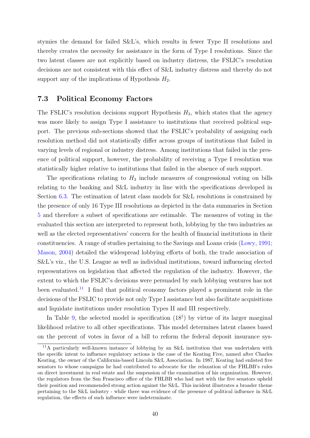stymies the demand for failed S&L's, which results in fewer Type II resolutions and thereby creates the necessity for assistance in the form of Type I resolutions. Since the two latent classes are not explicitly based on industry distress, the FSLIC's resolution decisions are not consistent with this effect of S&L industry distress and thereby do not support any of the implications of Hypothesis  $H_2$ .

### 7.3 Political Economy Factors

The FSLIC's resolution decisions support Hypothesis  $H_3$ , which states that the agency was more likely to assign Type I assistance to institutions that received political support. The previous sub-sections showed that the FSLIC's probability of assigning each resolution method did not statistically differ across groups of institutions that failed in varying levels of regional or industry distress. Among institutions that failed in the presence of political support, however, the probability of receiving a Type I resolution was statistically higher relative to institutions that failed in the absence of such support.

The specifications relating to  $H_3$  include measures of congressional voting on bills relating to the banking and S&L industry in line with the specifications developed in Section [6.3.](#page-31-0) The estimation of latent class models for S&L resolutions is constrained by the presence of only 16 Type III resolutions as depicted in the data summaries in Section [5](#page-17-1) and therefore a subset of specifications are estimable. The measures of voting in the evaluated this section are interpreted to represent both, lobbying by the two industries as well as the elected representatives' concern for the health of financial institutions in their constituencies. A range of studies pertaining to the Savings and Loans crisis [\(Lowy,](#page-49-12) [1991;](#page-49-12) [Mason,](#page-49-13) [2004\)](#page-49-13) detailed the widespread lobbying efforts of both, the trade association of S&L's viz., the U.S. League as well as individual institutions, toward influencing elected representatives on legislation that affected the regulation of the industry. However, the extent to which the FSLIC's decisions were persuaded by such lobbying ventures has not been evaluated.[11](#page-40-0) I find that political economy factors played a prominent role in the decisions of the FSLIC to provide not only Type I assistance but also facilitate acquisitions and liquidate institutions under resolution Types II and III respectively.

In Table [9,](#page-42-0) the selected model is specification  $(18<sup>\dagger</sup>)$  by virtue of its larger marginal likelihood relative to all other specifications. This model determines latent classes based on the percent of votes in favor of a bill to reform the federal deposit insurance sys-

<span id="page-40-0"></span><sup>11</sup>A particularly well-known instance of lobbying by an S&L institution that was undertaken with the specific intent to influence regulatory actions is the case of the Keating Five, named after Charles Keating, the owner of the California-based Lincoln S&L Association. In 1987, Keating had enlisted five senators to whose campaigns he had contributed to advocate for the relaxation of the FHLBB's rules on direct investment in real estate and the suspension of the examination of his organization. However, the regulators from the San Francisco office of the FHLBB who had met with the five senators upheld their position and recommended strong action against the S&L. This incident illustrates a broader theme pertaining to the S&L industry - while there was evidence of the presence of political influence in S&L regulation, the effects of such influence were indeterminate.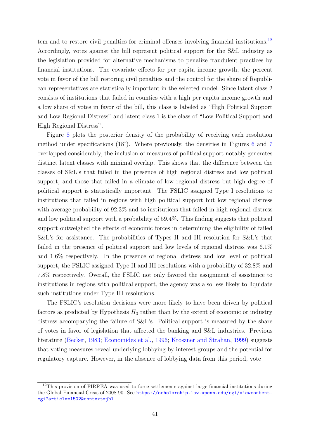tem and to restore civil penalties for criminal offenses involving financial institutions.<sup>[12](#page-41-0)</sup> Accordingly, votes against the bill represent political support for the S&L industry as the legislation provided for alternative mechanisms to penalize fraudulent practices by financial institutions. The covariate effects for per capita income growth, the percent vote in favor of the bill restoring civil penalties and the control for the share of Republican representatives are statistically important in the selected model. Since latent class 2 consists of institutions that failed in counties with a high per capita income growth and a low share of votes in favor of the bill, this class is labeled as "High Political Support and Low Regional Distress" and latent class 1 is the class of "Low Political Support and High Regional Distress".

Figure [8](#page-38-0) plots the posterior density of the probability of receiving each resolution method under specifications  $(18^{\dagger})$ . Where previously, the densities in Figures [6](#page-38-0) and [7](#page-38-0) overlapped considerably, the inclusion of measures of political support notably generates distinct latent classes with minimal overlap. This shows that the difference between the classes of S&L's that failed in the presence of high regional distress and low political support, and those that failed in a climate of low regional distress but high degree of political support is statistically important. The FSLIC assigned Type I resolutions to institutions that failed in regions with high political support but low regional distress with average probability of 92.3% and to institutions that failed in high regional distress and low political support with a probability of 59.4%. This finding suggests that political support outweighed the effects of economic forces in determining the eligibility of failed S&L's for assistance. The probabilities of Types II and III resolution for S&L's that failed in the presence of political support and low levels of regional distress was 6.1% and 1.6% respectively. In the presence of regional distress and low level of political support, the FSLIC assigned Type II and III resolutions with a probability of 32.8% and 7.8% respectively. Overall, the FSLIC not only favored the assignment of assistance to institutions in regions with political support, the agency was also less likely to liquidate such institutions under Type III resolutions.

The FSLIC's resolution decisions were more likely to have been driven by political factors as predicted by Hypothesis  $H_3$  rather than by the extent of economic or industry distress accompanying the failure of S&L's. Political support is measured by the share of votes in favor of legislation that affected the banking and S&L industries. Previous literature [\(Becker,](#page-46-13) [1983;](#page-46-13) [Economides et al.,](#page-47-12) [1996;](#page-47-12) [Kroszner and Strahan,](#page-48-1) [1999\)](#page-48-1) suggests that voting measures reveal underlying lobbying by interest groups and the potential for regulatory capture. However, in the absence of lobbying data from this period, vote

<span id="page-41-0"></span><sup>&</sup>lt;sup>12</sup>This provision of FIRREA was used to force settlements against large financial institutions during the Global Financial Crisis of 2008-90. See [https://scholarship.law.upenn.edu/cgi/viewcontent.](https://scholarship.law.upenn.edu/cgi/viewcontent.cgi?article=1502&context=jbl) [cgi?article=1502&context=jbl](https://scholarship.law.upenn.edu/cgi/viewcontent.cgi?article=1502&context=jbl)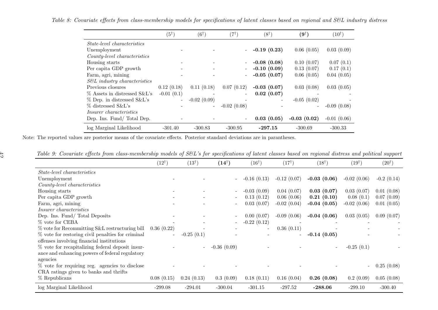|                                    | $(5^{\dagger})$ | $(6^{\dagger})$ | $^{\prime}7^{\dagger}$ . | $(8^{\dagger})$ | $(9^{\dagger})$          | $(10^{\dagger})$ |
|------------------------------------|-----------------|-----------------|--------------------------|-----------------|--------------------------|------------------|
| <i>State-level characteristics</i> |                 |                 |                          |                 |                          |                  |
| Unemployment                       |                 |                 |                          | $-0.19(0.23)$   | 0.06(0.05)               | 0.03(0.09)       |
| County-level characteristics       |                 |                 |                          |                 |                          |                  |
| Housing starts                     |                 |                 |                          | $-0.08(0.08)$   | 0.10(0.07)               | 0.07(0.1)        |
| Per capita GDP growth              |                 |                 |                          | $-0.10(0.09)$   | 0.13(0.07)               | 0.17(0.1)        |
| Farm, agri, mining                 |                 |                 |                          | $-0.05(0.07)$   | 0.06(0.05)               | 0.04(0.05)       |
| $S\&L$ industry characteristics    |                 |                 |                          |                 |                          |                  |
| Previous closures                  | 0.12(0.18)      | 0.11(0.18)      | 0.07(0.12)               | $-0.03(0.07)$   | 0.03(0.08)               | 0.03(0.05)       |
| % Assets in distressed S&L's       | $-0.01(0.1)$    |                 | $\overline{\phantom{a}}$ | 0.02(0.07)      |                          |                  |
| % Dep. in distressed S&L's         |                 | $-0.02(0.09)$   |                          |                 | $-0.05(0.02)$            |                  |
| $\%$ distressed S&L's              |                 |                 | $-0.02(0.08)$            |                 | $\overline{\phantom{a}}$ | $-0.09(0.08)$    |
| <i>Insurer characteristics</i>     |                 |                 |                          |                 |                          |                  |
| Dep. Ins. Fund/Total Dep.          |                 |                 |                          | 0.03(0.05)      | $-0.03(0.02)$            | $-0.01(0.06)$    |
| log Marginal Likelihood            | $-301.40$       | $-300.83$       | $-300.95$                | $-297.15$       | $-300.69$                | $-300.33$        |

Table 8: Covariate effects from class-membership models for specifications of latent classes based on regional and S&L industry distress

Note: The reported values are posterior means of the covariate effects. Posterior standard deviations are in parantheses.

<span id="page-42-0"></span> $\mathcal{L}$ 

| Table 9: Covariate effects from class-membership models of S&L's for specifications of latent classes based on regional distress and political support |  |  |  |  |  |  |  |
|--------------------------------------------------------------------------------------------------------------------------------------------------------|--|--|--|--|--|--|--|
|                                                                                                                                                        |  |  |  |  |  |  |  |

| υU                                                | $(12^{\dagger})$         | $(13^{\dagger})$         | $(14^{\dagger})$         | $(16^{\dagger})$         | $(17^{\dagger})$         | $(18^{\dagger})$ | $(19^{\dagger})$ | $\mathbf{r}$<br>$(20^{\dagger})$ |
|---------------------------------------------------|--------------------------|--------------------------|--------------------------|--------------------------|--------------------------|------------------|------------------|----------------------------------|
|                                                   |                          |                          |                          |                          |                          |                  |                  |                                  |
| <i>State-level characteristics</i>                |                          |                          |                          |                          |                          |                  |                  |                                  |
| Unemployment                                      |                          |                          |                          | $-0.16(0.13)$            | $-0.12(0.07)$            | $-0.03(0.06)$    | $-0.02(0.06)$    | $-0.2$ $(0.14)$                  |
| County-level characteristics                      |                          |                          |                          |                          |                          |                  |                  |                                  |
| Housing starts                                    |                          |                          |                          | $-0.03(0.09)$            | 0.04(0.07)               | 0.03(0.07)       | 0.03(0.07)       | 0.01(0.08)                       |
| Per capita GDP growth                             |                          |                          |                          | 0.13(0.12)               | 0.06(0.06)               | 0.21(0.10)       | 0.08(0.1)        | 0.07(0.09)                       |
| Farm, agri, mining                                |                          |                          |                          | 0.03(0.07)               | $-0.02(0.04)$            | $-0.04(0.05)$    | $-0.02(0.06)$    | 0.01(0.05)                       |
| Insurer characteristics                           |                          |                          |                          |                          |                          |                  |                  |                                  |
| Dep. Ins. Fund/Total Deposits                     |                          |                          |                          | 0.00(0.07)               | $-0.09(0.06)$            | $-0.04(0.06)$    | 0.03(0.05)       | 0.09(0.07)                       |
| % vote for CEBA                                   |                          |                          | $\overline{\phantom{0}}$ | $-0.22(0.12)$            | $\overline{\phantom{a}}$ |                  |                  |                                  |
| % vote for Recommitting S&L restructuring bill    | 0.36(0.22)               |                          |                          | $\overline{\phantom{a}}$ | 0.36(0.11)               |                  |                  |                                  |
| % vote for restoring civil penalties for criminal | $\overline{\phantom{a}}$ | $-0.25(0.1)$             |                          |                          |                          | $-0.14(0.05)$    |                  |                                  |
| offenses involving financial institutions         |                          |                          |                          |                          |                          |                  |                  |                                  |
| % vote for recapitalizing federal deposit insur-  |                          | $\overline{\phantom{a}}$ | $-0.36(0.09)$            |                          |                          | -                | $-0.25(0.1)$     |                                  |
| ance and enhancing powers of federal regulatory   |                          |                          |                          |                          |                          |                  |                  |                                  |
| agencies                                          |                          |                          |                          |                          |                          |                  |                  |                                  |
| % vote for requiring reg. agencies to disclose    |                          |                          |                          |                          |                          |                  | $\overline{a}$   | 0.25(0.08)                       |
| CRA ratings given to banks and thrifts            |                          |                          |                          |                          |                          |                  |                  |                                  |
| % Republicans                                     | 0.08(0.15)               | 0.24(0.13)               | 0.3(0.09)                | 0.18(0.11)               | 0.16(0.04)               | 0.26(0.08)       | 0.2(0.09)        | 0.05(0.08)                       |
| log Marginal Likelihood                           | $-299.08$                | $-294.01$                | $-300.04$                | $-301.15$                | $-297.52$                | $-288.06$        | $-299.10$        | $-300.40$                        |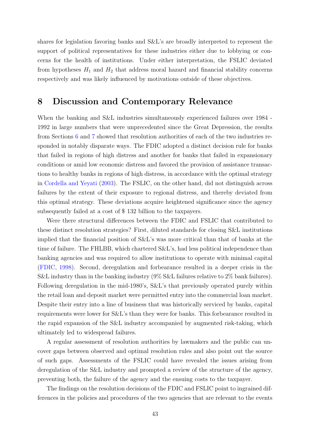shares for legislation favoring banks and S&L's are broadly interpreted to represent the support of political representatives for these industries either due to lobbying or concerns for the health of institutions. Under either interpretation, the FSLIC deviated from hypotheses  $H_1$  and  $H_2$  that address moral hazard and financial stability concerns respectively and was likely influenced by motivations outside of these objectives.

# 8 Discussion and Contemporary Relevance

When the banking and S&L industries simultaneously experienced failures over 1984 -1992 in large numbers that were unprecedented since the Great Depression, the results from Sections [6](#page-18-1) and [7](#page-34-2) showed that resolution authorities of each of the two industries responded in notably disparate ways. The FDIC adopted a distinct decision rule for banks that failed in regions of high distress and another for banks that failed in expansionary conditions or amid low economic distress and favored the provision of assistance transactions to healthy banks in regions of high distress, in accordance with the optimal strategy in [Cordella and Yeyati](#page-47-2) [\(2003\)](#page-47-2). The FSLIC, on the other hand, did not distinguish across failures by the extent of their exposure to regional distress, and thereby deviated from this optimal strategy. These deviations acquire heightened significance since the agency subsequently failed at a cost of \$ 132 billion to the taxpayers.

Were there structural differences between the FDIC and FSLIC that contributed to these distinct resolution strategies? First, diluted standards for closing S&L institutions implied that the financial position of S&L's was more critical than that of banks at the time of failure. The FHLBB, which chartered S&L's, had less political independence than banking agencies and was required to allow institutions to operate with minimal capital [\(FDIC,](#page-47-0) [1998\)](#page-47-0). Second, deregulation and forbearance resulted in a deeper crisis in the S&L industry than in the banking industry (9% S&L failures relative to 2% bank failures). Following deregulation in the mid-1980's, S&L's that previously operated purely within the retail loan and deposit market were permitted entry into the commercial loan market. Despite their entry into a line of business that was historically serviced by banks, capital requirements were lower for S&L's than they were for banks. This forbearance resulted in the rapid expansion of the S&L industry accompanied by augmented risk-taking, which ultimately led to widespread failures.

A regular assessment of resolution authorities by lawmakers and the public can uncover gaps between observed and optimal resolution rules and also point out the source of such gaps. Assessments of the FSLIC could have revealed the issues arising from deregulation of the S&L industry and prompted a review of the structure of the agency, preventing both, the failure of the agency and the ensuing costs to the taxpayer.

The findings on the resolution decisions of the FDIC and FSLIC point to ingrained differences in the policies and procedures of the two agencies that are relevant to the events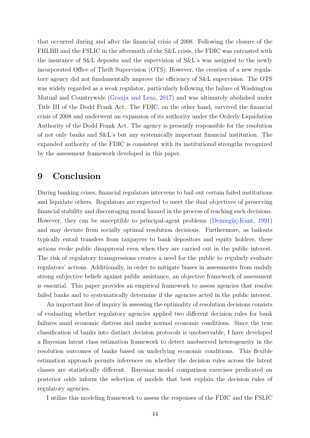that occurred during and after the financial crisis of 2008. Following the closure of the FHLBB and the FSLIC in the aftermath of the S&L crisis, the FDIC was entrusted with the insurance of S&L deposits and the supervision of S&L's was assigned to the newly incorporated Office of Thrift Supervision (OTS). However, the creation of a new regulatory agency did not fundamentally improve the efficiency of S&L supervision. The OTS was widely regarded as a weak regulator, particularly following the failure of Washington Mutual and Countrywide [\(Granja and Leuz,](#page-47-13) [2017\)](#page-47-13) and was ultimately abolished under Title III of the Dodd Frank Act. The FDIC, on the other hand, survived the financial crisis of 2008 and underwent an expansion of its authority under the Orderly Liquidation Authority of the Dodd Frank Act. The agency is presently responsible for the resolution of not only banks and S&L's but any systemically important financial institution. The expanded authority of the FDIC is consistent with its institutional strengths recognized by the assessment framework developed in this paper.

# 9 Conclusion

During banking crises, financial regulators intervene to bail out certain failed institutions and liquidate others. Regulators are expected to meet the dual objectives of preserving financial stability and discouraging moral hazard in the process of reaching such decisions. However, they can be susceptible to principal-agent problems (Demirgüç-Kunt, [1991\)](#page-47-14) and may deviate from socially optimal resolution decisions. Furthermore, as bailouts typically entail transfers from taxpayers to bank depositors and equity holders, these actions evoke public disapproval even when they are carried out in the public interest. The risk of regulatory transgressions creates a need for the public to regularly evaluate regulators' actions. Additionally, in order to mitigate biases in assessments from unduly strong subjective beliefs against public assistance, an objective framework of assessment is essential. This paper provides an empirical framework to assess agencies that resolve failed banks and to systematically determine if the agencies acted in the public interest.

An important line of inquiry in assessing the optimality of resolution decisions consists of evaluating whether regulatory agencies applied two different decision rules for bank failures amid economic distress and under normal economic conditions. Since the true classification of banks into distinct decision protocols is unobservable, I have developed a Bayesian latent class estimation framework to detect unobserved heterogeneity in the resolution outcomes of banks based on underlying economic conditions. This flexible estimation approach permits inferences on whether the decision rules across the latent classes are statistically different. Bayesian model comparison exercises predicated on posterior odds inform the selection of models that best explain the decision rules of regulatory agencies.

I utilize this modeling framework to assess the responses of the FDIC and the FSLIC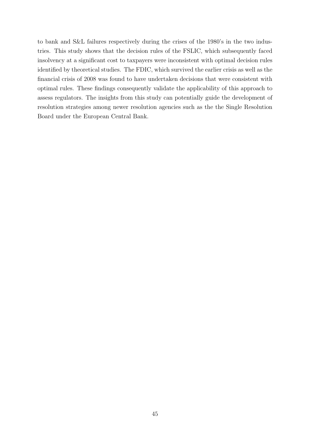to bank and S&L failures respectively during the crises of the 1980's in the two industries. This study shows that the decision rules of the FSLIC, which subsequently faced insolvency at a significant cost to taxpayers were inconsistent with optimal decision rules identified by theoretical studies. The FDIC, which survived the earlier crisis as well as the financial crisis of 2008 was found to have undertaken decisions that were consistent with optimal rules. These findings consequently validate the applicability of this approach to assess regulators. The insights from this study can potentially guide the development of resolution strategies among newer resolution agencies such as the the Single Resolution Board under the European Central Bank.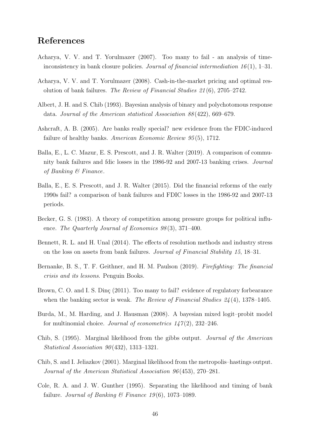# References

- <span id="page-46-1"></span>Acharya, V. V. and T. Yorulmazer (2007). Too many to fail - an analysis of timeinconsistency in bank closure policies. Journal of financial intermediation  $16(1)$ , 1–31.
- <span id="page-46-2"></span>Acharya, V. V. and T. Yorulmazer (2008). Cash-in-the-market pricing and optimal resolution of bank failures. The Review of Financial Studies 21 (6), 2705–2742.
- <span id="page-46-8"></span>Albert, J. H. and S. Chib (1993). Bayesian analysis of binary and polychotomous response data. Journal of the American statistical Association 88 (422), 669–679.
- <span id="page-46-6"></span>Ashcraft, A. B. (2005). Are banks really special? new evidence from the FDIC-induced failure of healthy banks. American Economic Review 95(5), 1712.
- <span id="page-46-12"></span>Balla, E., L. C. Mazur, E. S. Prescott, and J. R. Walter (2019). A comparison of community bank failures and fdic losses in the 1986-92 and 2007-13 banking crises. Journal of Banking & Finance.
- <span id="page-46-5"></span>Balla, E., E. S. Prescott, and J. R. Walter (2015). Did the financial reforms of the early 1990s fail? a comparison of bank failures and FDIC losses in the 1986-92 and 2007-13 periods.
- <span id="page-46-13"></span>Becker, G. S. (1983). A theory of competition among pressure groups for political influence. The Quarterly Journal of Economics 98(3), 371–400.
- <span id="page-46-4"></span>Bennett, R. L. and H. Unal (2014). The effects of resolution methods and industry stress on the loss on assets from bank failures. Journal of Financial Stability 15, 18–31.
- <span id="page-46-0"></span>Bernanke, B. S., T. F. Geithner, and H. M. Paulson (2019). Firefighting: The financial crisis and its lessons. Penguin Books.
- <span id="page-46-3"></span>Brown, C. O. and I. S. Ding (2011). Too many to fail? evidence of regulatory forbearance when the banking sector is weak. The Review of Financial Studies  $24(4)$ , 1378–1405.
- <span id="page-46-7"></span>Burda, M., M. Harding, and J. Hausman (2008). A bayesian mixed logit–probit model for multinomial choice. Journal of econometrics  $1/7(2)$ , 232–246.
- <span id="page-46-9"></span>Chib, S. (1995). Marginal likelihood from the gibbs output. Journal of the American Statistical Association  $90(432)$ , 1313-1321.
- <span id="page-46-10"></span>Chib, S. and I. Jeliazkov (2001). Marginal likelihood from the metropolis–hastings output. Journal of the American Statistical Association 96 (453), 270–281.
- <span id="page-46-11"></span>Cole, R. A. and J. W. Gunther (1995). Separating the likelihood and timing of bank failure. Journal of Banking & Finance 19(6), 1073-1089.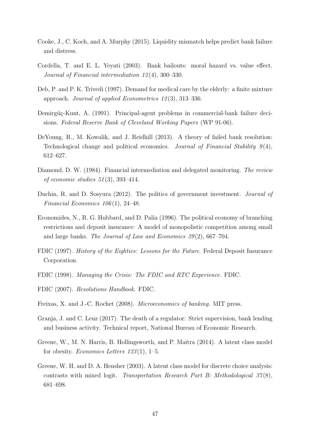- <span id="page-47-11"></span>Cooke, J., C. Koch, and A. Murphy (2015). Liquidity mismatch helps predict bank failure and distress.
- <span id="page-47-2"></span>Cordella, T. and E. L. Yeyati (2003). Bank bailouts: moral hazard vs. value effect. Journal of Financial intermediation 12 (4), 300–330.
- <span id="page-47-8"></span>Deb, P. and P. K. Trivedi (1997). Demand for medical care by the elderly: a finite mixture approach. Journal of applied Econometrics 12 (3), 313–336.
- <span id="page-47-14"></span>Demirgüç-Kunt, A. (1991). Principal-agent problems in commercial-bank failure decisions. Federal Reserve Bank of Cleveland Working Papers (WP 91-06).
- <span id="page-47-3"></span>DeYoung, R., M. Kowalik, and J. Reidhill (2013). A theory of failed bank resolution: Technological change and political economics. Journal of Financial Stability  $9(4)$ , 612–627.
- <span id="page-47-5"></span>Diamond, D. W. (1984). Financial intermediation and delegated monitoring. The review of economic studies 51 (3), 393–414.
- <span id="page-47-4"></span>Duchin, R. and D. Sosyura (2012). The politics of government investment. *Journal of* Financial Economics  $106(1)$ , 24-48.
- <span id="page-47-12"></span>Economides, N., R. G. Hubbard, and D. Palia (1996). The political economy of branching restrictions and deposit insurance: A model of monopolistic competition among small and large banks. The Journal of Law and Economics  $39(2)$ , 667–704.
- <span id="page-47-10"></span>FDIC (1997). History of the Eighties: Lessons for the Future. Federal Deposit Insurance Corporation.
- <span id="page-47-0"></span>FDIC (1998). Managing the Crisis: The FDIC and RTC Experience. FDIC.
- <span id="page-47-6"></span>FDIC (2007). Resolutions Handbook. FDIC.
- <span id="page-47-1"></span>Freixas, X. and J.-C. Rochet (2008). Microeconomics of banking. MIT press.
- <span id="page-47-13"></span>Granja, J. and C. Leuz (2017). The death of a regulator: Strict supervision, bank lending and business activity. Technical report, National Bureau of Economic Research.
- <span id="page-47-9"></span>Greene, W., M. N. Harris, B. Hollingsworth, and P. Maitra (2014). A latent class model for obesity. *Economics Letters*  $123(1)$ , 1–5.
- <span id="page-47-7"></span>Greene, W. H. and D. A. Hensher (2003). A latent class model for discrete choice analysis: contrasts with mixed logit. Transportation Research Part B: Methodological  $37(8)$ , 681–698.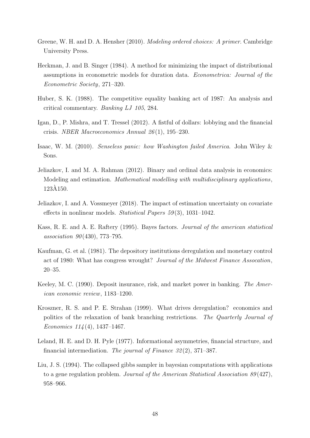- <span id="page-48-6"></span>Greene, W. H. and D. A. Hensher (2010). Modeling ordered choices: A primer. Cambridge University Press.
- <span id="page-48-7"></span>Heckman, J. and B. Singer (1984). A method for minimizing the impact of distributional assumptions in econometric models for duration data. Econometrica: Journal of the Econometric Society, 271–320.
- <span id="page-48-11"></span>Huber, S. K. (1988). The competitive equality banking act of 1987: An analysis and critical commentary. Banking LJ 105, 284.
- <span id="page-48-3"></span>Igan, D., P. Mishra, and T. Tressel (2012). A fistful of dollars: lobbying and the financial crisis. NBER Macroeconomics Annual 26 (1), 195–230.
- <span id="page-48-0"></span>Isaac, W. M. (2010). Senseless panic: how Washington failed America. John Wiley & Sons.
- <span id="page-48-8"></span>Jeliazkov, I. and M. A. Rahman (2012). Binary and ordinal data analysis in economics: Modeling and estimation. Mathematical modelling with multidisciplinary applications, 123A150. `
- <span id="page-48-10"></span>Jeliazkov, I. and A. Vossmeyer (2018). The impact of estimation uncertainty on covariate effects in nonlinear models. Statistical Papers  $59(3)$ , 1031–1042.
- <span id="page-48-9"></span>Kass, R. E. and A. E. Raftery (1995). Bayes factors. Journal of the american statistical association  $90(430)$ , 773–795.
- <span id="page-48-12"></span>Kaufman, G. et al. (1981). The depository institutions deregulation and monetary control act of 1980: What has congress wrought? Journal of the Midwest Finance Assocation, 20–35.
- <span id="page-48-2"></span>Keeley, M. C. (1990). Deposit insurance, risk, and market power in banking. The American economic review, 1183–1200.
- <span id="page-48-1"></span>Kroszner, R. S. and P. E. Strahan (1999). What drives deregulation? economics and politics of the relaxation of bank branching restrictions. The Quarterly Journal of Economics  $114(4)$ , 1437–1467.
- <span id="page-48-4"></span>Leland, H. E. and D. H. Pyle (1977). Informational asymmetries, financial structure, and financial intermediation. The journal of Finance 32 (2), 371–387.
- <span id="page-48-5"></span>Liu, J. S. (1994). The collapsed gibbs sampler in bayesian computations with applications to a gene regulation problem. Journal of the American Statistical Association 89 (427), 958–966.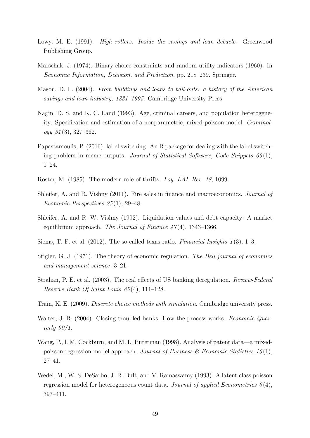- <span id="page-49-12"></span>Lowy, M. E. (1991). *High rollers: Inside the savings and loan debacle.* Greenwood Publishing Group.
- <span id="page-49-5"></span>Marschak, J. (1974). Binary-choice constraints and random utility indicators (1960). In Economic Information, Decision, and Prediction, pp. 218–239. Springer.
- <span id="page-49-13"></span>Mason, D. L. (2004). From buildings and loans to bail-outs: a history of the American savings and loan industry, 1831–1995. Cambridge University Press.
- <span id="page-49-2"></span>Nagin, D. S. and K. C. Land (1993). Age, criminal careers, and population heterogeneity: Specification and estimation of a nonparametric, mixed poisson model. Criminology 31 (3), 327–362.
- <span id="page-49-14"></span>Papastamoulis, P. (2016). label.switching: An R package for dealing with the label switching problem in mcmc outputs. Journal of Statistical Software, Code Snippets  $69(1)$ , 1–24.
- <span id="page-49-11"></span>Roster, M. (1985). The modern role of thrifts. Loy. LAL Rev. 18, 1099.
- <span id="page-49-10"></span>Shleifer, A. and R. Vishny (2011). Fire sales in finance and macroeconomics. *Journal of* Economic Perspectives 25 (1), 29–48.
- <span id="page-49-9"></span>Shleifer, A. and R. W. Vishny (1992). Liquidation values and debt capacity: A market equilibrium approach. The Journal of Finance  $47(4)$ , 1343–1366.
- <span id="page-49-8"></span>Siems, T. F. et al.  $(2012)$ . The so-called texas ratio. *Financial Insights* 1(3), 1–3.
- <span id="page-49-0"></span>Stigler, G. J. (1971). The theory of economic regulation. The Bell journal of economics and management science, 3–21.
- <span id="page-49-7"></span>Strahan, P. E. et al. (2003). The real effects of US banking deregulation. Review-Federal Reserve Bank Of Saint Louis 85 (4), 111–128.
- <span id="page-49-6"></span>Train, K. E. (2009). Discrete choice methods with simulation. Cambridge university press.
- <span id="page-49-1"></span>Walter, J. R. (2004). Closing troubled banks: How the process works. *Economic Quar*terly 90/1.
- <span id="page-49-3"></span>Wang, P., l. M. Cockburn, and M. L. Puterman (1998). Analysis of patent data—a mixedpoisson-regression-model approach. Journal of Business  $\mathcal B$  Economic Statistics 16(1), 27–41.
- <span id="page-49-4"></span>Wedel, M., W. S. DeSarbo, J. R. Bult, and V. Ramaswamy (1993). A latent class poisson regression model for heterogeneous count data. Journal of applied Econometrics  $8(4)$ , 397–411.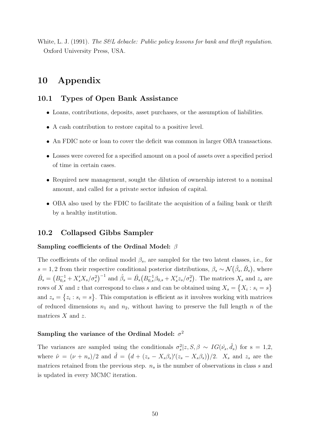<span id="page-50-1"></span>White, L. J. (1991). The S&L debacle: Public policy lessons for bank and thrift regulation. Oxford University Press, USA.

# 10 Appendix

### 10.1 Types of Open Bank Assistance

- Loans, contributions, deposits, asset purchases, or the assumption of liabilities.
- A cash contribution to restore capital to a positive level.
- An FDIC note or loan to cover the deficit was common in larger OBA transactions.
- Losses were covered for a specified amount on a pool of assets over a specified period of time in certain cases.
- Required new management, sought the dilution of ownership interest to a nominal amount, and called for a private sector infusion of capital.
- OBA also used by the FDIC to facilitate the acquisition of a failing bank or thrift by a healthy institution.

# <span id="page-50-0"></span>10.2 Collapsed Gibbs Sampler

### Sampling coefficients of the Ordinal Model: β

The coefficients of the ordinal model  $\beta_s$ , are sampled for the two latent classes, i.e., for s = 1, 2 from their respective conditional posterior distributions,  $\beta_s \sim \mathcal{N}(\hat{\beta}_s, \hat{B}_s)$ , where  $\hat{B}_s = (B_{0,s}^{-1} + X_s' X_s / \sigma_s^2)^{-1}$  and  $\hat{\beta}_s = \hat{B}_s (B_{0,s}^{-1} \beta_{0,s} + X_s' z_s / \sigma_s^2)$ . The matrices  $X_s$  and  $z_s$  are rows of X and z that correspond to class s and can be obtained using  $X_s = \{X_i : s_i = s\}$ and  $z_s = \{z_i : s_i = s\}$ . This computation is efficient as it involves working with matrices of reduced dimensions  $n_1$  and  $n_2$ , without having to preserve the full length n of the matrices  $X$  and  $z$ .

### Sampling the variance of the Ordinal Model:  $\sigma^2$

The variances are sampled using the conditionals  $\sigma_s^2 | z, S, \beta \sim IG(\hat{\nu}_s, \hat{d}_s)$  for s = 1,2, where  $\hat{\nu} = (\nu + n_s)/2$  and  $\hat{d} = (d + (z_s - X_s\beta_s)'(z_s - X_s\beta_s))/2$ .  $X_s$  and  $z_s$  are the matrices retained from the previous step.  $n<sub>s</sub>$  is the number of observations in class s and is updated in every MCMC iteration.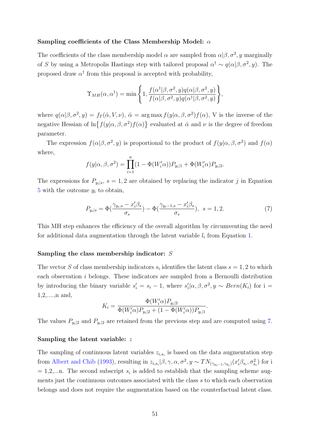#### Sampling coefficients of the Class Membership Model: α

The coefficients of the class membership model  $\alpha$  are sampled from  $\alpha|\beta,\sigma^2,y$  marginally of S by using a Metropolis Hastings step with tailored proposal  $\alpha^{\dagger} \sim q(\alpha|\beta, \sigma^2, y)$ . The proposed draw  $\alpha^{\dagger}$  from this proposal is accepted with probability,

$$
\Upsilon_{MH}(\alpha, \alpha^{\dagger}) = \min \left\{ 1, \frac{f(\alpha^{\dagger}|\beta, \sigma^2, y)q(\alpha|\beta, \sigma^2, y)}{f(\alpha|\beta, \sigma^2, y)q(\alpha^{\dagger}|\beta, \sigma^2, y)} \right\},\,
$$

where  $q(\alpha|\beta,\sigma^2,y) = f_T(\hat{\alpha},V,\nu), \hat{\alpha} = \arg \max f(y|\alpha,\beta,\sigma^2)f(\alpha)$ , V is the inverse of the negative Hessian of  $\ln\{f(y|\alpha,\beta,\sigma^2)f(\alpha)\}\$ evaluated at  $\hat{\alpha}$  and  $\nu$  is the degree of freedom parameter.

The expression  $f(\alpha|\beta, \sigma^2, y)$  is proportional to the product of  $f(y|\alpha, \beta, \sigma^2)$  and  $f(\alpha)$ where,

$$
f(y|\alpha, \beta, \sigma^2) = \prod_{i=1}^n (1 - \Phi(W_i' \alpha)) P_{y_i|1} + \Phi(W_i' \alpha) P_{y_i|2}.
$$

The expressions for  $P_{y_i|s}$ ,  $s = 1, 2$  are obtained by replacing the indicator j in Equation [5](#page-14-2) with the outcome  $y_i$  to obtain,

<span id="page-51-0"></span>
$$
P_{y_i|s} = \Phi\left(\frac{\gamma_{y_i,s} - x_i'\beta_s}{\sigma_s}\right) - \Phi\left(\frac{\gamma_{y_i-1,s} - x_i'\beta_s}{\sigma_s}\right), \ s = 1, 2. \tag{7}
$$

This MH step enhances the efficiency of the overall algorithm by circumventing the need for additional data augmentation through the latent variable  $l_i$  from Equation [1.](#page-13-1)

### Sampling the class membership indicator: S

The vector S of class membership indicators  $s_i$  identifies the latent class  $s = 1, 2$  to which each observation i belongs. These indicators are sampled from a Bernoulli distribution by introducing the binary variable  $s_i' = s_i - 1$ , where  $s_i' | \alpha, \beta, \sigma^2, y \sim Bern(K_i)$  for i = 1,2,....,n and,

$$
K_{i} = \frac{\Phi(W'_{i}\alpha)P_{y_{i}|2}}{\Phi(W'_{i}\alpha)P_{y_{i}|2} + (1 - \Phi(W'_{i}\alpha))P_{y_{i}|1}}.
$$

The values  $P_{y_i|2}$  and  $P_{y_i|2}$  are retained from the previous step and are computed using [7.](#page-51-0)

### Sampling the latent variable: z

The sampling of continuous latent variables  $z_{i,s_i}$  is based on the data augmentation step from [Albert and Chib](#page-46-8) [\(1993\)](#page-46-8), resulting in  $z_{i,s_i}|\beta,\gamma,\alpha,\sigma^2,y \sim TN_{(\gamma_{y_i-1},\gamma_{y_i})}(x_i'\beta_{s_i},\sigma_{s_i}^2)$  for i  $= 1, 2, \ldots$  The second subscript  $s_i$  is added to establish that the sampling scheme augments just the continuous outcomes associated with the class s to which each observation belongs and does not require the augmentation based on the counterfactual latent class.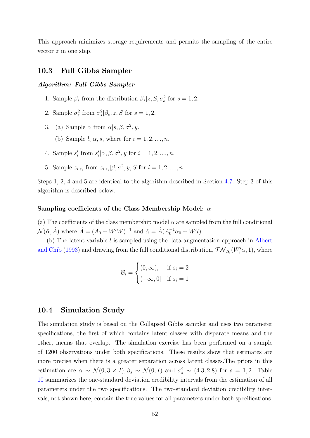This approach minimizes storage requirements and permits the sampling of the entire vector z in one step.

### <span id="page-52-0"></span>10.3 Full Gibbs Sampler

#### Algorithm: Full Gibbs Sampler

- 1. Sample  $\beta_s$  from the distribution  $\beta_s | z, S, \sigma_s^2$  for  $s = 1, 2$ .
- 2. Sample  $\sigma_s^2$  from  $\sigma_s^2|\beta_s, z, S$  for  $s = 1, 2$ .
- 3. (a) Sample  $\alpha$  from  $\alpha|s, \beta, \sigma^2, y$ .
	- (b) Sample  $l_i | \alpha, s$ , where for  $i = 1, 2, \ldots, n$ .
- 4. Sample  $s'_i$  from  $s'_i | \alpha, \beta, \sigma^2, y$  for  $i = 1, 2, ..., n$ .
- 5. Sample  $z_{i,s_i}$  from  $z_{i,s_i} | \beta, \sigma^2, y, S$  for  $i = 1, 2, ..., n$ .

Steps 1, 2, 4 and 5 are identical to the algorithm described in Section [4.7.](#page-15-0) Step 3 of this algorithm is described below.

#### Sampling coefficients of the Class Membership Model: α

(a) The coefficients of the class membership model  $\alpha$  are sampled from the full conditional  $\mathcal{N}(\hat{\alpha}, \hat{A})$  where  $\hat{A} = (A_0 + W'W)^{-1}$  and  $\hat{\alpha} = \hat{A}(A_0^{-1}\alpha_0 + W'l)$ .

(b) The latent variable  $l$  is sampled using the data augmentation approach in [Albert](#page-46-8) [and Chib](#page-46-8) [\(1993\)](#page-46-8) and drawing from the full conditional distribution,  $\mathcal{TN}_{\mathcal{B}_i}(W'_i\alpha, 1)$ , where

$$
\mathcal{B}_i = \begin{cases} (0, \infty), & \text{if } s_i = 2\\ (-\infty, 0] & \text{if } s_i = 1 \end{cases}
$$

### <span id="page-52-1"></span>10.4 Simulation Study

The simulation study is based on the Collapsed Gibbs sampler and uses two parameter specifications, the first of which contains latent classes with disparate means and the other, means that overlap. The simulation exercise has been performed on a sample of 1200 observations under both specifications. These results show that estimates are more precise when there is a greater separation across latent classes.The priors in this estimation are  $\alpha \sim \mathcal{N}(0, 3 \times I), \beta_s \sim \mathcal{N}(0, I)$  and  $\sigma_s^2 \sim (4.3, 2.8)$  for  $s = 1, 2$ . Table [10](#page-54-0) summarizes the one-standard deviation credibility intervals from the estimation of all parameters under the two specifications. The two-standard deviation credibility intervals, not shown here, contain the true values for all parameters under both specifications.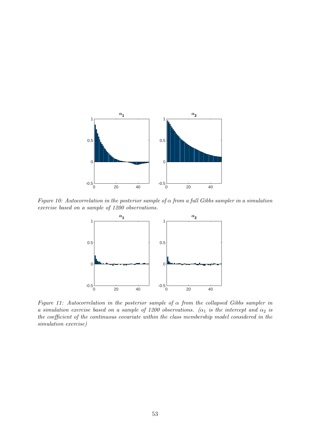<span id="page-53-0"></span>

Figure 10: Autocorrelation in the posterior sample of  $\alpha$  from a full Gibbs sampler in a simulation exercise based on a sample of 1200 observations.



Figure 11: Autocorrelation in the posterior sample of  $\alpha$  from the collapsed Gibbs sampler in a simulation exercise based on a sample of 1200 observations. ( $\alpha_1$  is the intercept and  $\alpha_2$  is the coefficient of the continuous covariate within the class membership model considered in the simulation exercise)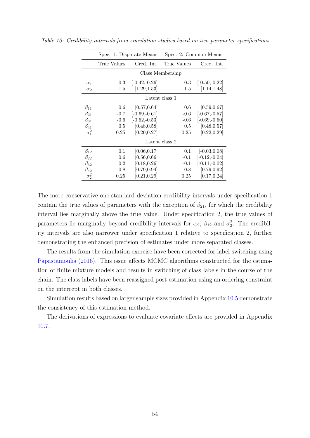|              | Spec. 1: Disparate Means |                  | Spec. 2: Common Means |                 |  |  |  |
|--------------|--------------------------|------------------|-----------------------|-----------------|--|--|--|
|              | True Values              | Cred. Int.       | True Values           | Cred. Int.      |  |  |  |
|              |                          |                  | Class Membership      |                 |  |  |  |
| $\alpha_1$   | $-0.3$                   | $[-0.42,-0.26]$  | $-0.3$                | $[-0.50,-0.22]$ |  |  |  |
| $\alpha_2$   | $1.5\,$                  | [1.29, 1.53]     | 1.5                   | [1.14, 1.48]    |  |  |  |
|              |                          | Latent class 1   |                       |                 |  |  |  |
| $\beta_{11}$ | 0.6                      | [0.57, 0.64]     | 0.6                   | [0.59, 0.67]    |  |  |  |
| $\beta_{21}$ | $-0.7$                   | $[-0.69,-0.61]$  | $-0.6$                | $[-0.67,-0.57]$ |  |  |  |
| $\beta_{31}$ | $-0.6$                   | $[-0.62, -0.53]$ | $-0.6$                | $[-0.69,-0.60]$ |  |  |  |
| $\beta_{41}$ | 0.5                      | [0.48, 0.58]     | $0.5^{\circ}$         | [0.48, 0.57]    |  |  |  |
| $\sigma_1^2$ | 0.25                     | [0.20, 0.27]     | 0.25                  | [0.22, 0.29]    |  |  |  |
|              |                          |                  | Latent class 2        |                 |  |  |  |
| $\beta_{12}$ | 0.1                      | [0.06, 0.17]     | 0.1                   | $[-0.03, 0.08]$ |  |  |  |
| $\beta_{22}$ | 0.6                      | [0.56, 0.66]     | $-0.1$                | $[-0.12,-0.04]$ |  |  |  |
| $\beta_{32}$ | 0.2                      | [0.18, 0.26]     | $-0.1$                | $[-0.11,-0.02]$ |  |  |  |
| $\beta_{42}$ | 0.8                      | [0.79, 0.94]     | 0.8                   | [0.79, 0.92]    |  |  |  |
| $\sigma_2^2$ | $0.25\,$                 | [0.21, 0.29]     | 0.25                  | [0.17, 0.24]    |  |  |  |

<span id="page-54-0"></span>Table 10: Credibility intervals from simulation studies based on two parameter specifications

The more conservative one-standard deviation credibility intervals under specification 1 contain the true values of parameters with the exception of  $\beta_{21}$ , for which the credibility interval lies marginally above the true value. Under specification 2, the true values of parameters lie marginally beyond credibility intervals for  $\alpha_2$ ,  $\beta_{12}$  and  $\sigma_2^2$ . The credibility intervals are also narrower under specification 1 relative to specification 2, further demonstrating the enhanced precision of estimates under more separated classes.

The results from the simulation exercise have been corrected for label-switching using [Papastamoulis](#page-49-14) [\(2016\)](#page-49-14). This issue affects MCMC algorithms constructed for the estimation of finite mixture models and results in switching of class labels in the course of the chain. The class labels have been reassigned post-estimation using an ordering constraint on the intercept in both classes.

Simulation results based on larger sample sizes provided in Appendix [10.5](#page-55-0) demonstrate the consistency of this estimation method.

The derivations of expressions to evaluate covariate effects are provided in Appendix [10.7.](#page-56-0)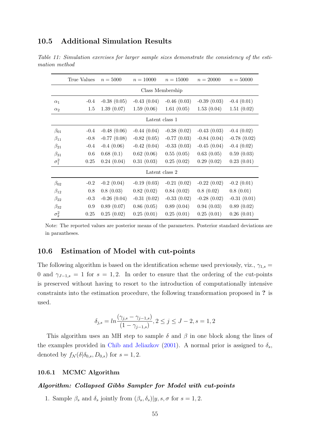# <span id="page-55-0"></span>10.5 Additional Simulation Results

Table 11: Simulation exercises for larger sample sizes demonstrate the consistency of the estimation method

|                | True Values | $n = 5000$      | $n = 10000$      | $n = 15000$   | $n = 20000$   | $n = 50000$      |  |  |  |
|----------------|-------------|-----------------|------------------|---------------|---------------|------------------|--|--|--|
|                |             |                 | Class Membership |               |               |                  |  |  |  |
| $\alpha_1$     | $-0.4$      | $-0.38(0.05)$   | $-0.43(0.04)$    | $-0.46(0.03)$ | $-0.39(0.03)$ | $-0.4(0.01)$     |  |  |  |
| $\alpha_2$     | 1.5         | 1.39(0.07)      | 1.59(0.06)       | 1.61(0.05)    | 1.53(0.04)    | 1.51(0.02)       |  |  |  |
| Latent class 1 |             |                 |                  |               |               |                  |  |  |  |
| $\beta_{01}$   | $-0.4$      | $-0.48(0.06)$   | $-0.44(0.04)$    | $-0.38(0.02)$ | $-0.43(0.03)$ | $-0.4(0.02)$     |  |  |  |
| $\beta_{11}$   | $-0.8$      | $-0.77(0.08)$   | $-0.82(0.05)$    | $-0.77(0.03)$ | $-0.84(0.04)$ | $-0.78$ $(0.02)$ |  |  |  |
| $\beta_{21}$   | $-0.4$      | $-0.4(0.06)$    | $-0.42(0.04)$    | $-0.33(0.03)$ | $-0.45(0.04)$ | $-0.4(0.02)$     |  |  |  |
| $\beta_{31}$   | 0.6         | 0.68(0.1)       | 0.62(0.06)       | 0.55(0.05)    | 0.63(0.05)    | 0.59(0.03)       |  |  |  |
| $\sigma_1^2$   | 0.25        | 0.24(0.04)      | 0.31(0.03)       | 0.25(0.02)    | 0.29(0.02)    | 0.23(0.01)       |  |  |  |
|                |             |                 | Latent class 2   |               |               |                  |  |  |  |
| $\beta_{02}$   | $-0.2$      | $-0.2$ $(0.04)$ | $-0.19(0.03)$    | $-0.21(0.02)$ | $-0.22(0.02)$ | $-0.2$ $(0.01)$  |  |  |  |
| $\beta_{12}$   | 0.8         | 0.8(0.03)       | 0.82(0.02)       | 0.84(0.02)    | 0.8(0.02)     | 0.8(0.01)        |  |  |  |
| $\beta_{22}$   | $-0.3$      | $-0.26(0.04)$   | $-0.31(0.02)$    | $-0.33(0.02)$ | $-0.28(0.02)$ | $-0.31(0.01)$    |  |  |  |
| $\beta_{32}$   | 0.9         | 0.89(0.07)      | 0.86(0.05)       | 0.89(0.04)    | 0.94(0.03)    | 0.89(0.02)       |  |  |  |
| $\sigma_2^2$   | 0.25        | 0.25(0.02)      | 0.25(0.01)       | 0.25(0.01)    | 0.25(0.01)    | 0.26(0.01)       |  |  |  |

Note: The reported values are posterior means of the parameters. Posterior standard deviations are in parantheses.

# <span id="page-55-1"></span>10.6 Estimation of Model with cut-points

The following algorithm is based on the identification scheme used previously, viz.,  $\gamma_{1,s} =$ 0 and  $\gamma_{J-1,s} = 1$  for  $s = 1,2$ . In order to ensure that the ordering of the cut-points is preserved without having to resort to the introduction of computationally intensive constraints into the estimation procedure, the following transformation proposed in ? is used.

$$
\delta_{j,s} = \ln \frac{(\gamma_{j,s} - \gamma_{j-1,s})}{(1 - \gamma_{j-1,s})}, 2 \le j \le J-2, s = 1, 2
$$

This algorithm uses an MH step to sample  $\delta$  and  $\beta$  in one block along the lines of the examples provided in [Chib and Jeliazkov](#page-46-10) [\(2001\)](#page-46-10). A normal prior is assigned to  $\delta_s$ , denoted by  $f_{\mathcal{N}}(\delta | \delta_{0,s}, D_{0,s})$  for  $s = 1, 2$ .

### 10.6.1 MCMC Algorithm

### Algorithm: Collapsed Gibbs Sampler for Model with cut-points

1. Sample  $\beta_s$  and  $\delta_s$  jointly from  $(\beta_s, \delta_s)|y, s, \sigma$  for  $s = 1, 2$ .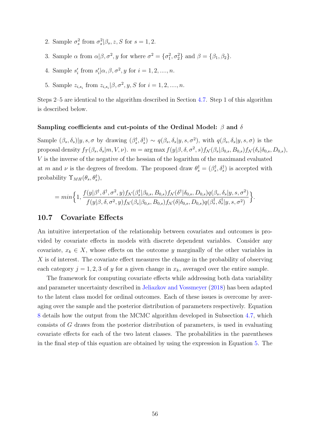- 2. Sample  $\sigma_s^2$  from  $\sigma_s^2|\beta_s, z, S$  for  $s = 1, 2$ .
- 3. Sample  $\alpha$  from  $\alpha|\beta, \sigma^2, y$  for where  $\sigma^2 = {\sigma_1^2, \sigma_2^2}$  and  $\beta = {\beta_1, \beta_2}$ .
- 4. Sample  $s'_i$  from  $s'_i | \alpha, \beta, \sigma^2, y$  for  $i = 1, 2, ..., n$ .
- 5. Sample  $z_{i,s_i}$  from  $z_{i,s_i} | \beta, \sigma^2, y, S$  for  $i = 1, 2, ..., n$ .

Steps 2–5 are identical to the algorithm described in Section [4.7.](#page-15-0) Step 1 of this algorithm is described below.

#### Sampling coefficients and cut-points of the Ordinal Model:  $\beta$  and  $\delta$

Sample  $(\beta_s, \delta_s)|y, s, \sigma$  by drawing  $(\beta_s^{\dagger}, \delta_s^{\dagger}) \sim q(\beta_s, \delta_s|y, s, \sigma^2)$ , with  $q(\beta_s, \delta_s|y, s, \sigma)$  is the proposal density  $f_{\mathcal{T}}(\beta_s, \delta_s | m, V, \nu)$ .  $m = \arg \max f(y | \beta, \delta, \sigma^2, s) f_{\mathcal{N}}(\beta_s | \beta_{0,s}, B_{0,s}) f_{\mathcal{N}}(\delta_s | \delta_{0,s}, D_{0,s})$ , V is the inverse of the negative of the hessian of the logarithm of the maximand evaluated at m and v is the degrees of freedom. The proposed draw  $\theta_s^{\dagger} = (\beta_s^{\dagger}, \delta_s^{\dagger})$  is accepted with probability  $\Upsilon_{MH}(\theta_s, \theta_s^{\dagger}),$ 

$$
= min \Big\{ 1, \frac{f(y|\beta^{\dagger}, \delta^{\dagger}, \sigma^2, y) f_{\mathcal{N}}(\beta^{\dagger}_s|\beta_{0,s}, B_{0,s}) f_{\mathcal{N}}(\delta^{\dagger}|\delta_{0,s}, D_{0,s}) q(\beta_s, \delta_s|y, s, \sigma^2)}{f(y|\beta, \delta, \sigma^2, y) f_{\mathcal{N}}(\beta_s|\beta_{0,s}, B_{0,s}) f_{\mathcal{N}}(\delta|\delta_{0,s}, D_{0,s}) q(\beta^{\dagger}_s, \delta^{\dagger}_s|y, s, \sigma^2)} \Big\}.
$$

### <span id="page-56-0"></span>10.7 Covariate Effects

An intuitive interpretation of the relationship between covariates and outcomes is provided by covariate effects in models with discrete dependent variables. Consider any covariate,  $x_k \in X$ , whose effects on the outcome y marginally of the other variables in X is of interest. The covariate effect measures the change in the probability of observing each category  $j = 1, 2, 3$  of y for a given change in  $x_k$ , averaged over the entire sample.

The framework for computing covariate effects while addressing both data variability and parameter uncertainty described in [Jeliazkov and Vossmeyer](#page-48-10) [\(2018\)](#page-48-10) has been adapted to the latent class model for ordinal outcomes. Each of these issues is overcome by averaging over the sample and the posterior distribution of parameters respectively. Equation [8](#page-57-1) details how the output from the MCMC algorithm developed in Subsection [4.7,](#page-15-0) which consists of G draws from the posterior distribution of parameters, is used in evaluating covariate effects for each of the two latent classes. The probabilities in the parentheses in the final step of this equation are obtained by using the expression in Equation [5.](#page-14-2) The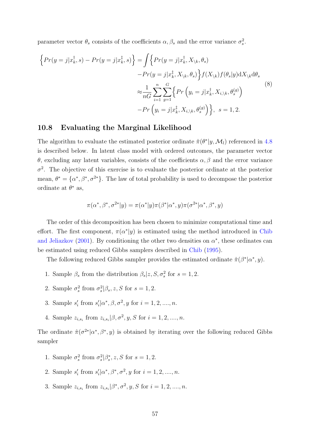parameter vector  $\theta_s$  consists of the coefficients  $\alpha, \beta_s$  and the error variance  $\sigma_s^2$ .

<span id="page-57-1"></span>
$$
\left\{ Pr(y=j|x_k^{\dagger},s) - Pr(y=j|x_k^{\dagger},s) \right\} = \int \left\{ Pr(y=j|x_k^{\dagger},X_{\backslash k},\theta_s) - Pr(y=j|x_k^{\dagger},X_{\backslash k},\theta_s) \right\} f(X_{\backslash k}) f(\theta_s|y) dX_{\backslash k} d\theta_s
$$
\n
$$
\approx \frac{1}{nG} \sum_{i=1}^n \sum_{g=1}^G \left\{ Pr(y_i=j|x_k^{\dagger},X_{i,\backslash k},\theta_s^{(g)}) - Pr(y_i=j|x_k^{\dagger},X_{i,\backslash k},\theta_s^{(g)}) \right\}, \quad s = 1, 2.
$$
\n(8)

# <span id="page-57-0"></span>10.8 Evaluating the Marginal Likelihood

The algorithm to evaluate the estimated posterior ordinate  $\hat{\pi}(\theta^*|y, \mathcal{M}_l)$  referenced in [4.8](#page-16-0) is described below. In latent class model with ordered outcomes, the parameter vector θ, excluding any latent variables, consists of the coefficients α, β and the error variance  $\sigma^2$ . The objective of this exercise is to evaluate the posterior ordinate at the posterior mean,  $\theta^* = {\alpha^*, \beta^*, \sigma^{2*}}$ . The law of total probability is used to decompose the posterior ordinate at  $\theta^*$  as,

$$
\pi(\alpha^*, \beta^*, \sigma^{2*}|y) = \pi(\alpha^*|y)\pi(\beta^*|\alpha^*, y)\pi(\sigma^{2*}|\alpha^*, \beta^*, y)
$$

The order of this decomposition has been chosen to minimize computational time and effort. The first component,  $\pi(\alpha^*|y)$  is estimated using the method introduced in [Chib](#page-46-10) [and Jeliazkov](#page-46-10) [\(2001\)](#page-46-10). By conditioning the other two densities on  $\alpha^*$ , these ordinates can be estimated using reduced Gibbs samplers described in [Chib](#page-46-9) [\(1995\)](#page-46-9).

The following reduced Gibbs sampler provides the estimated ordinate  $\hat{\pi}(\beta^*|\alpha^*,y)$ .

- 1. Sample  $\beta_s$  from the distribution  $\beta_s | z, S, \sigma_s^2$  for  $s = 1, 2$ .
- 2. Sample  $\sigma_s^2$  from  $\sigma_s^2|\beta_s, z, S$  for  $s = 1, 2$ .
- 3. Sample  $s'_i$  from  $s'_i | \alpha^*, \beta, \sigma^2, y$  for  $i = 1, 2, ..., n$ .
- 4. Sample  $z_{i,s_i}$  from  $z_{i,s_i} | \beta, \sigma^2, y, S$  for  $i = 1, 2, ..., n$ .

The ordinate  $\hat{\pi}(\sigma^{2*}|\alpha^*,\beta^*,y)$  is obtained by iterating over the following reduced Gibbs sampler

- 1. Sample  $\sigma_s^2$  from  $\sigma_s^2|\beta_s^*, z, S$  for  $s = 1, 2$ .
- 2. Sample  $s'_i$  from  $s'_i | \alpha^*, \beta^*, \sigma^2, y$  for  $i = 1, 2, ..., n$ .
- 3. Sample  $z_{i,s_i}$  from  $z_{i,s_i} | \beta^*, \sigma^2, y, S$  for  $i = 1, 2, ..., n$ .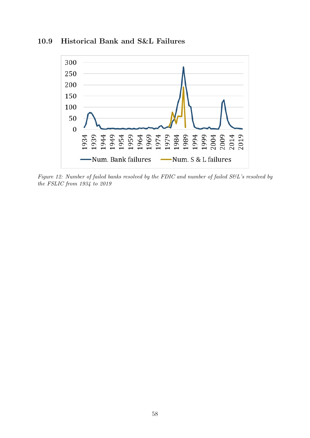<span id="page-58-0"></span>

# 10.9 Historical Bank and S&L Failures

Figure 12: Number of failed banks resolved by the FDIC and number of failed S&L's resolved by the FSLIC from 1934 to 2019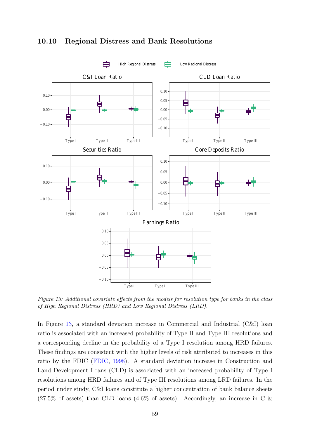<span id="page-59-0"></span>

# 10.10 Regional Distress and Bank Resolutions

Figure 13: Additional covariate effects from the models for resolution type for banks in the class of High Regional Distress (HRD) and Low Regional Distress (LRD).

In Figure [13,](#page-59-0) a standard deviation increase in Commercial and Industrial (C&I) loan ratio is associated with an increased probability of Type II and Type III resolutions and a corresponding decline in the probability of a Type I resolution among HRD failures. These findings are consistent with the higher levels of risk attributed to increases in this ratio by the FDIC [\(FDIC,](#page-47-0) [1998\)](#page-47-0). A standard deviation increase in Construction and Land Development Loans (CLD) is associated with an increased probability of Type I resolutions among HRD failures and of Type III resolutions among LRD failures. In the period under study, C&I loans constitute a higher concentration of bank balance sheets  $(27.5\% \text{ of assets})$  than CLD loans  $(4.6\% \text{ of assets})$ . Accordingly, an increase in C &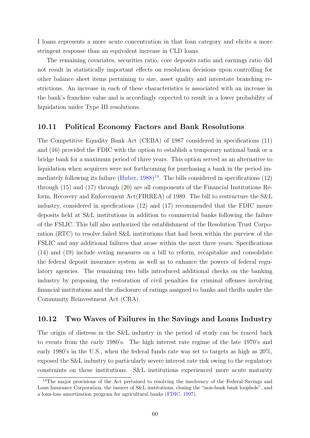I loans represents a more acute concentration in that loan category and elicits a more stringent response than an equivalent increase in CLD loans.

The remaining covariates, securities ratio, core deposits ratio and earnings ratio did not result in statistically important effects on resolution decisions upon controlling for other balance sheet items pertaining to size, asset quality and interstate branching restrictions. An increase in each of these characteristics is associated with an increase in the bank's franchise value and is accordingly expected to result in a lower probability of liquidation under Type III resolutions.

# <span id="page-60-0"></span>10.11 Political Economy Factors and Bank Resolutions

The Competitive Equality Bank Act (CEBA) of 1987 considered in specifications (11) and (16) provided the FDIC with the option to establish a temporary national bank or a bridge bank for a maximum period of three years. This option served as an alternative to liquidation when acquirers were not forthcoming for purchasing a bank in the period immediately following its failure  $(Huber, 1988)^{13}$  $(Huber, 1988)^{13}$  $(Huber, 1988)^{13}$  $(Huber, 1988)^{13}$  $(Huber, 1988)^{13}$  $(Huber, 1988)^{13}$ . The bills considered in specifications (12) through (15) and (17) through (20) are all components of the Financial Institutions Reform, Recovery and Enforcement Act(FIRREA) of 1989. The bill to restructure the S&L industry, considered in specfications (12) and (17) recommended that the FDIC insure deposits held at S&L institutions in addition to commercial banks following the failure of the FSLIC. This bill also authorized the establishment of the Resolution Trust Corporation (RTC) to resolve failed S&L institutions that had been within the purview of the FSLIC and any additional failures that arose within the next three years. Specifications (14) and (19) include voting measures on a bill to reform, recapitalize and consolidate the federal deposit insurance system as well as to enhance the powers of federal regulatory agencies. The remaining two bills introduced additional checks on the banking industry by proposing the restoration of civil penalties for criminal offenses involving financial institutions and the disclosure of ratings assigned to banks and thrifts under the Community Reinvestment Act (CRA).

# <span id="page-60-1"></span>10.12 Two Waves of Failures in the Savings and Loans Industry

The origin of distress in the S&L industry in the period of study can be traced back to events from the early 1980's. The high interest rate regime of the late 1970's and early 1980's in the U.S., when the federal funds rate was set to targets as high as 20%, exposed the S&L industry to particularly severe interest rate risk owing to the regulatory constraints on these institutions. S&L institutions experienced more acute maturity

<span id="page-60-2"></span><sup>&</sup>lt;sup>13</sup>The major provisions of the Act pertained to resolving the insolvency of the Federal Savings and Loan Insurance Corporation, the insurer of S&L institutions, closing the "non-bank bank loophole", and a loan-loss amortization program for agricultural banks [\(FDIC,](#page-47-10) [1997\)](#page-47-10).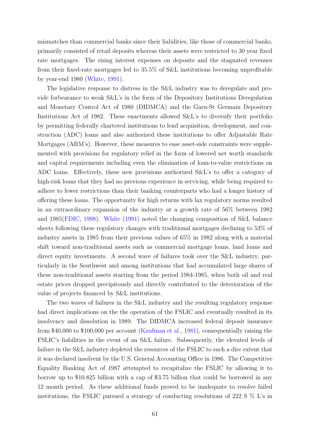mismatches than commercial banks since their liabilities, like those of commercial banks, primarily consisted of retail deposits whereas their assets were restricted to 30 year fixed rate mortgages. The rising interest expenses on deposits and the stagnated revenues from their fixed-rate mortgages led to 35.5% of S&L institutions becoming unprofitable by year-end 1980 [\(White,](#page-50-1) [1991\)](#page-50-1).

The legislative response to distress in the S&L industry was to deregulate and provide forbearance to weak S&L's in the form of the Depository Institutions Deregulation and Monetary Control Act of 1980 (DIDMCA) and the Garn-St Germain Depository Institutions Act of 1982. These enactments allowed S&L's to diversify their portfolio by permitting federally chartered institutions to lend acquisition, development, and construction (ADC) loans and also authorized these institutions to offer Adjustable Rate Mortgages (ARM's). However, these measures to ease asset-side constraints were supplemented with provisions for regulatory relief in the form of lowered net worth standards and capital requirements including even the elimination of loan-to-value restrictions on ADC loans. Effectively, these new provisions authorized S&L's to offer a category of high-risk loans that they had no previous experience in servicing, while being required to adhere to fewer restrictions than their banking counterparts who had a longer history of offering these loans. The opportunity for high returns with lax regulatory norms resulted in an extraordinary expansion of the industry at a growth rate of 56% between 1982 and 1985[\(FDIC,](#page-47-0) [1998\)](#page-47-0). [White](#page-50-1) [\(1991\)](#page-50-1) noted the changing composition of S&L balance sheets following these regulatory changes with traditional mortgages declining to 53% of industry assets in 1985 from their previous values of 65% in 1982 along with a material shift toward non-traditional assets such as commercial mortgage loans, land loans and direct equity investments. A second wave of failures took over the S&L industry, particularly in the Southwest and among institutions that had accumulated large shares of these non-traditional assets starting from the period 1984-1985, when both oil and real estate prices dropped precipitously and directly contributed to the deterioration of the value of projects financed by S&L institutions.

The two waves of failures in the S&L industry and the resulting regulatory response had direct implications on the the operation of the FSLIC and eventually resulted in its insolvency and dissolution in 1989. The DIDMCA increased federal deposit insurance from \$40,000 to \$100,000 per account [\(Kaufman et al.,](#page-48-12) [1981\)](#page-48-12), consequentially raising the FSLIC's liabilities in the event of an S&L failure. Subsequently, the elevated levels of failure in the S&L industry depleted the resources of the FSLIC to such a dire extent that it was declared insolvent by the U.S. General Accounting Office in 1986. The Competitive Equality Banking Act of 1987 attempted to recapitalize the FSLIC by allowing it to borrow up to \$10.825 billion with a cap of \$3.75 billion that could be borrowed in any 12 month period. As these additional funds proved to be inadequate to resolve failed institutions, the FSLIC pursued a strategy of conducting resolutions of 222 S % L's in